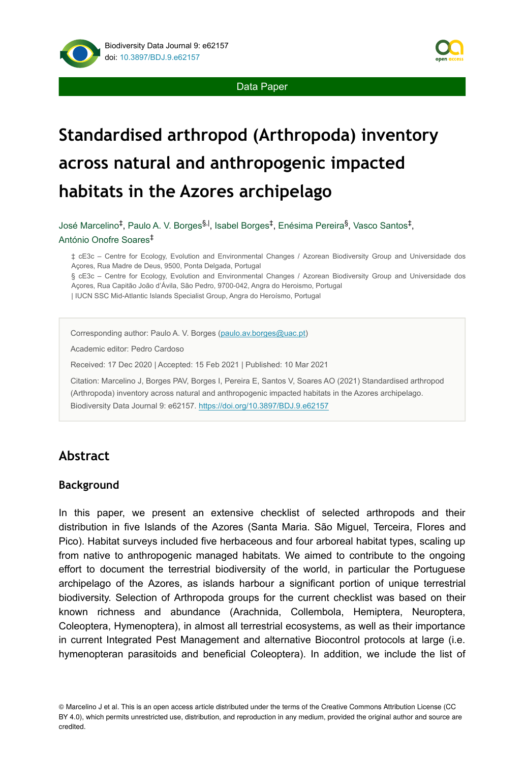

Data Paper

# **Standardised arthropod (Arthropoda) inventory across natural and anthropogenic impacted habitats in the Azores archipelago**

José Marcelino<sup>‡</sup>, Paulo A. V. Borges<sup>§, |</sup>, Isabel Borges<sup>‡</sup>, Enésima Pereira<sup>§</sup>, Vasco Santos<sup>‡</sup>, António Onofre Soares ‡

‡ cE3c – Centre for Ecology, Evolution and Environmental Changes / Azorean Biodiversity Group and Universidade dos Açores, Rua Madre de Deus, 9500, Ponta Delgada, Portugal

§ cE3c – Centre for Ecology, Evolution and Environmental Changes / Azorean Biodiversity Group and Universidade dos Açores, Rua Capitão João d'Ávila, São Pedro, 9700-042, Angra do Heroismo, Portugal

| IUCN SSC Mid-Atlantic Islands Specialist Group, Angra do Heroísmo, Portugal

Corresponding author: Paulo A. V. Borges ([paulo.av.borges@uac.pt](mailto:paulo.av.borges@uac.pt))

Academic editor: Pedro Cardoso

Received: 17 Dec 2020 | Accepted: 15 Feb 2021 | Published: 10 Mar 2021

Citation: Marcelino J, Borges PAV, Borges I, Pereira E, Santos V, Soares AO (2021) Standardised arthropod (Arthropoda) inventory across natural and anthropogenic impacted habitats in the Azores archipelago. Biodiversity Data Journal 9: e62157.<https://doi.org/10.3897/BDJ.9.e62157>

## **Abstract**

#### **Background**

In this paper, we present an extensive checklist of selected arthropods and their distribution in five Islands of the Azores (Santa Maria. São Miguel, Terceira, Flores and Pico). Habitat surveys included five herbaceous and four arboreal habitat types, scaling up from native to anthropogenic managed habitats. We aimed to contribute to the ongoing effort to document the terrestrial biodiversity of the world, in particular the Portuguese archipelago of the Azores, as islands harbour a significant portion of unique terrestrial biodiversity. Selection of Arthropoda groups for the current checklist was based on their known richness and abundance (Arachnida, Collembola, Hemiptera, Neuroptera, Coleoptera, Hymenoptera), in almost all terrestrial ecosystems, as well as their importance in current Integrated Pest Management and alternative Biocontrol protocols at large (i.e. hymenopteran parasitoids and beneficial Coleoptera). In addition, we include the list of

© Marcelino J et al. This is an open access article distributed under the terms of the Creative Commons Attribution License (CC BY 4.0), which permits unrestricted use, distribution, and reproduction in any medium, provided the original author and source are credited.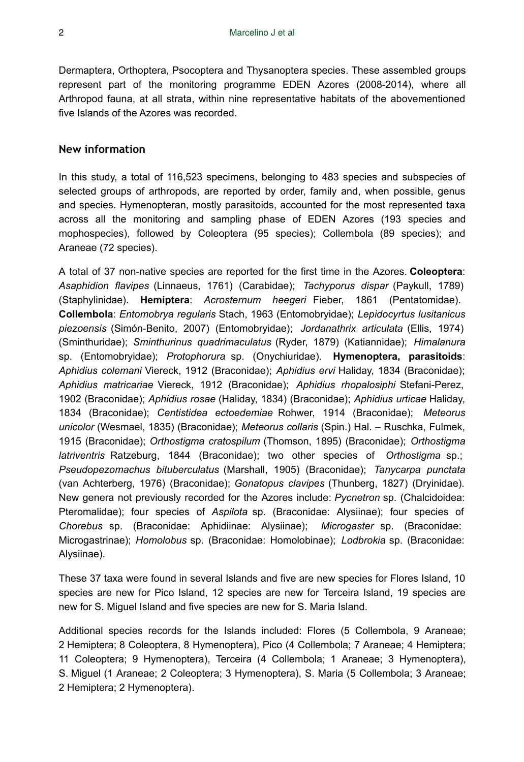Dermaptera, Orthoptera, Psocoptera and Thysanoptera species. These assembled groups represent part of the monitoring programme EDEN Azores (2008-2014), where all Arthropod fauna, at all strata, within nine representative habitats of the abovementioned five Islands of the Azores was recorded.

#### **New information**

In this study, a total of 116,523 specimens, belonging to 483 species and subspecies of selected groups of arthropods, are reported by order, family and, when possible, genus and species. Hymenopteran, mostly parasitoids, accounted for the most represented taxa across all the monitoring and sampling phase of EDEN Azores (193 species and mophospecies), followed by Coleoptera (95 species); Collembola (89 species); and Araneae (72 species).

A total of 37 non-native species are reported for the first time in the Azores. **Coleoptera**: *Asaphidion flavipes* (Linnaeus, 1761) (Carabidae); *Tachyporus dispar* (Paykull, 1789) (Staphylinidae). **Hemiptera**: *Acrosternum heegeri* Fieber, 1861 (Pentatomidae). **Collembola**: *Entomobrya regularis* Stach, 1963 (Entomobryidae); *Lepidocyrtus lusitanicus piezoensis* (Simón-Benito, 2007) (Entomobryidae); *Jordanathrix articulata* (Ellis, 1974) (Sminthuridae); *Sminthurinus quadrimaculatus* (Ryder, 1879) (Katiannidae); *Himalanura* sp. (Entomobryidae); *Protophorura* sp. (Onychiuridae). **Hymenoptera, parasitoids**: *Aphidius colemani* Viereck, 1912 (Braconidae); *Aphidius ervi* Haliday, 1834 (Braconidae); *Aphidius matricariae* Viereck, 1912 (Braconidae); *Aphidius rhopalosiphi* Stefani-Perez, 1902 (Braconidae); *Aphidius rosae* (Haliday, 1834) (Braconidae); *Aphidius urticae* Haliday, 1834 (Braconidae); *Centistidea ectoedemiae* Rohwer, 1914 (Braconidae); *Meteorus unicolor* (Wesmael, 1835) (Braconidae); *Meteorus collaris* (Spin.) Hal. – Ruschka, Fulmek, 1915 (Braconidae); *Orthostigma cratospilum* (Thomson, 1895) (Braconidae); *Orthostigma latriventris* Ratzeburg, 1844 (Braconidae); two other species of *Orthostigma* sp.; *Pseudopezomachus bituberculatus* (Marshall, 1905) (Braconidae); *Tanycarpa punctata* (van Achterberg, 1976) (Braconidae); *Gonatopus clavipes* (Thunberg, 1827) (Dryinidae). New genera not previously recorded for the Azores include: *Pycnetron* sp. (Chalcidoidea: Pteromalidae); four species of *Aspilota* sp. (Braconidae: Alysiinae); four species of *Chorebus* sp. (Braconidae: Aphidiinae: Alysiinae); *Microgaster* sp. (Braconidae: Microgastrinae); *Homolobus* sp. (Braconidae: Homolobinae); *Lodbrokia* sp. (Braconidae: Alysiinae).

These 37 taxa were found in several Islands and five are new species for Flores Island, 10 species are new for Pico Island, 12 species are new for Terceira Island, 19 species are new for S. Miguel Island and five species are new for S. Maria Island.

Additional species records for the Islands included: Flores (5 Collembola, 9 Araneae; 2 Hemiptera; 8 Coleoptera, 8 Hymenoptera), Pico (4 Collembola; 7 Araneae; 4 Hemiptera; 11 Coleoptera; 9 Hymenoptera), Terceira (4 Collembola; 1 Araneae; 3 Hymenoptera), S. Miguel (1 Araneae; 2 Coleoptera; 3 Hymenoptera), S. Maria (5 Collembola; 3 Araneae; 2 Hemiptera; 2 Hymenoptera).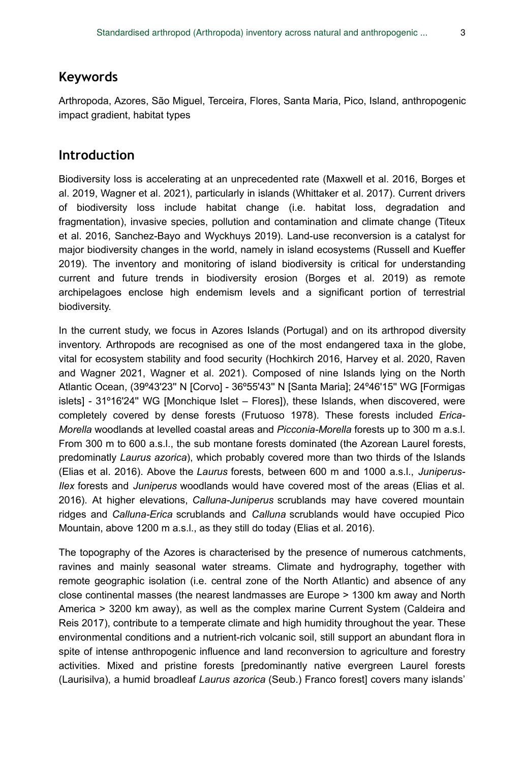### **Keywords**

Arthropoda, Azores, São Miguel, Terceira, Flores, Santa Maria, Pico, Island, anthropogenic impact gradient, habitat types

### **Introduction**

Biodiversity loss is accelerating at an unprecedented rate (Maxwell et al. 2016, Borges et al. 2019, Wagner et al. 2021), particularly in islands (Whittaker et al. 2017). Current drivers of biodiversity loss include habitat change (i.e. habitat loss, degradation and fragmentation), invasive species, pollution and contamination and climate change (Titeux et al. 2016, Sanchez-Bayo and Wyckhuys 2019). Land-use reconversion is a catalyst for major biodiversity changes in the world, namely in island ecosystems (Russell and Kueffer 2019). The inventory and monitoring of island biodiversity is critical for understanding current and future trends in biodiversity erosion (Borges et al. 2019) as remote archipelagoes enclose high endemism levels and a significant portion of terrestrial biodiversity.

In the current study, we focus in Azores Islands (Portugal) and on its arthropod diversity inventory. Arthropods are recognised as one of the most endangered taxa in the globe, vital for ecosystem stability and food security (Hochkirch 2016, Harvey et al. 2020, Raven and Wagner 2021, Wagner et al. 2021). Composed of nine Islands lying on the North Atlantic Ocean, (39º43'23'' N [Corvo] - 36º55'43'' N [Santa Maria]; 24º46'15'' WG [Formigas islets] - 31º16'24'' WG [Monchique Islet – Flores]), these Islands, when discovered, were completely covered by dense forests (Frutuoso 1978). These forests included *Erica-Morella* woodlands at levelled coastal areas and *Picconia-Morella* forests up to 300 m a.s.l. From 300 m to 600 a.s.l., the sub montane forests dominated (the Azorean Laurel forests, predominatly *Laurus azorica*), which probably covered more than two thirds of the Islands (Elias et al. 2016). Above the *Laurus* forests, between 600 m and 1000 a.s.l., *Juniperus-Ilex* forests and *Juniperus* woodlands would have covered most of the areas (Elias et al. 2016). At higher elevations, *Calluna-Juniperus* scrublands may have covered mountain ridges and *Calluna-Erica* scrublands and *Calluna* scrublands would have occupied Pico Mountain, above 1200 m a.s.l., as they still do today (Elias et al. 2016).

The topography of the Azores is characterised by the presence of numerous catchments, ravines and mainly seasonal water streams. Climate and hydrography, together with remote geographic isolation (i.e. central zone of the North Atlantic) and absence of any close continental masses (the nearest landmasses are Europe > 1300 km away and North America > 3200 km away), as well as the complex marine Current System (Caldeira and Reis 2017), contribute to a temperate climate and high humidity throughout the year. These environmental conditions and a nutrient-rich volcanic soil, still support an abundant flora in spite of intense anthropogenic influence and land reconversion to agriculture and forestry activities. Mixed and pristine forests [predominantly native evergreen Laurel forests (Laurisilva), a humid broadleaf *Laurus azorica* (Seub.) Franco forest] covers many islands'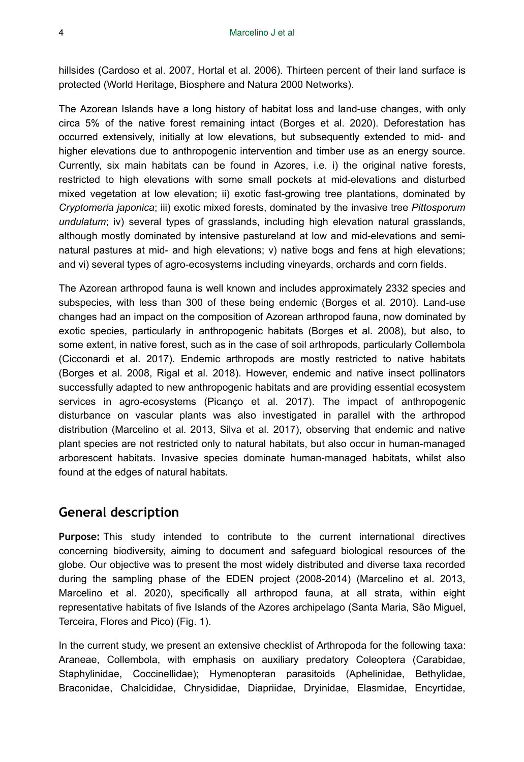hillsides (Cardoso et al. 2007, Hortal et al. 2006). Thirteen percent of their land surface is protected (World Heritage, Biosphere and Natura 2000 Networks).

The Azorean Islands have a long history of habitat loss and land-use changes, with only circa 5% of the native forest remaining intact (Borges et al. 2020). Deforestation has occurred extensively, initially at low elevations, but subsequently extended to mid- and higher elevations due to anthropogenic intervention and timber use as an energy source. Currently, six main habitats can be found in Azores, i.e. i) the original native forests, restricted to high elevations with some small pockets at mid-elevations and disturbed mixed vegetation at low elevation; ii) exotic fast-growing tree plantations, dominated by *Cryptomeria japonica*; iii) exotic mixed forests, dominated by the invasive tree *Pittosporum undulatum*; iv) several types of grasslands, including high elevation natural grasslands, although mostly dominated by intensive pastureland at low and mid-elevations and seminatural pastures at mid- and high elevations; v) native bogs and fens at high elevations; and vi) several types of agro-ecosystems including vineyards, orchards and corn fields.

The Azorean arthropod fauna is well known and includes approximately 2332 species and subspecies, with less than 300 of these being endemic (Borges et al. 2010). Land-use changes had an impact on the composition of Azorean arthropod fauna, now dominated by exotic species, particularly in anthropogenic habitats (Borges et al. 2008), but also, to some extent, in native forest, such as in the case of soil arthropods, particularly Collembola (Cicconardi et al. 2017). Endemic arthropods are mostly restricted to native habitats (Borges et al. 2008, Rigal et al. 2018). However, endemic and native insect pollinators successfully adapted to new anthropogenic habitats and are providing essential ecosystem services in agro-ecosystems (Picanço et al. 2017). The impact of anthropogenic disturbance on vascular plants was also investigated in parallel with the arthropod distribution (Marcelino et al. 2013, Silva et al. 2017), observing that endemic and native plant species are not restricted only to natural habitats, but also occur in human-managed arborescent habitats. Invasive species dominate human-managed habitats, whilst also found at the edges of natural habitats.

## **General description**

**Purpose:** This study intended to contribute to the current international directives concerning biodiversity, aiming to document and safeguard biological resources of the globe. Our objective was to present the most widely distributed and diverse taxa recorded during the sampling phase of the EDEN project (2008-2014) (Marcelino et al. 2013, Marcelino et al. 2020), specifically all arthropod fauna, at all strata, within eight representative habitats of five Islands of the Azores archipelago (Santa Maria, São Miguel, Terceira, Flores and Pico) (Fig. 1).

In the current study, we present an extensive checklist of Arthropoda for the following taxa: Araneae, Collembola, with emphasis on auxiliary predatory Coleoptera (Carabidae, Staphylinidae, Coccinellidae); Hymenopteran parasitoids (Aphelinidae, Bethylidae, Braconidae, Chalcididae, Chrysididae, Diapriidae, Dryinidae, Elasmidae, Encyrtidae,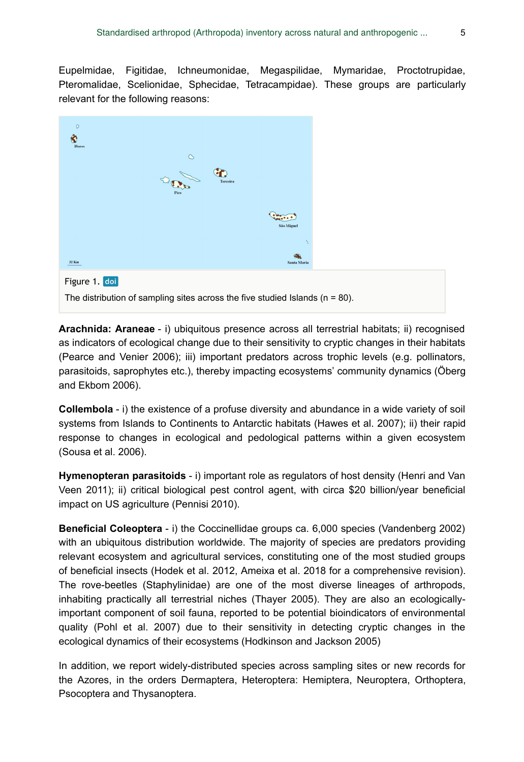Eupelmidae, Figitidae, Ichneumonidae, Megaspilidae, Mymaridae, Proctotrupidae, Pteromalidae, Scelionidae, Sphecidae, Tetracampidae). These groups are particularly relevant for the following reasons:



**Arachnida: Araneae** - i) ubiquitous presence across all terrestrial habitats; ii) recognised as indicators of ecological change due to their sensitivity to cryptic changes in their habitats (Pearce and Venier 2006); iii) important predators across trophic levels (e.g. pollinators, parasitoids, saprophytes etc.), thereby impacting ecosystems' community dynamics (Öberg and Ekbom 2006).

**Collembola** - i) the existence of a profuse diversity and abundance in a wide variety of soil systems from Islands to Continents to Antarctic habitats (Hawes et al. 2007); ii) their rapid response to changes in ecological and pedological patterns within a given ecosystem (Sousa et al. 2006).

**Hymenopteran parasitoids** - i) important role as regulators of host density (Henri and Van Veen 2011); ii) critical biological pest control agent, with circa \$20 billion/year beneficial impact on US agriculture (Pennisi 2010).

**Beneficial Coleoptera** - i) the Coccinellidae groups ca. 6,000 species (Vandenberg 2002) with an ubiquitous distribution worldwide. The majority of species are predators providing relevant ecosystem and agricultural services, constituting one of the most studied groups of beneficial insects (Hodek et al. 2012, Ameixa et al. 2018 for a comprehensive revision). The rove-beetles (Staphylinidae) are one of the most diverse lineages of arthropods, inhabiting practically all terrestrial niches (Thayer 2005). They are also an ecologicallyimportant component of soil fauna, reported to be potential bioindicators of environmental quality (Pohl et al. 2007) due to their sensitivity in detecting cryptic changes in the ecological dynamics of their ecosystems (Hodkinson and Jackson 2005)

In addition, we report widely-distributed species across sampling sites or new records for the Azores, in the orders Dermaptera, Heteroptera: Hemiptera, Neuroptera, Orthoptera, Psocoptera and Thysanoptera.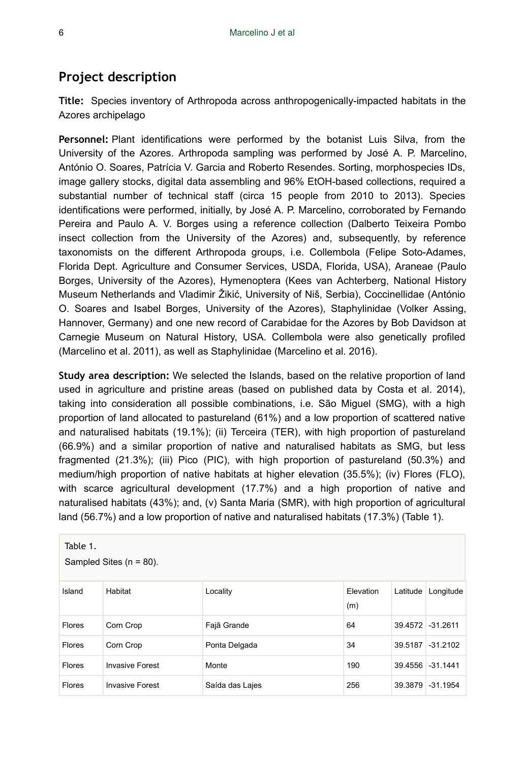# **Project description**

**Title:** Species inventory of Arthropoda across anthropogenically-impacted habitats in the Azores archipelago

**Personnel:** Plant identifications were performed by the botanist Luis Silva, from the University of the Azores. Arthropoda sampling was performed by José A. P. Marcelino, António O. Soares, Patrícia V. Garcia and Roberto Resendes. Sorting, morphospecies IDs, image gallery stocks, digital data assembling and 96% EtOH-based collections, required a substantial number of technical staff (circa 15 people from 2010 to 2013). Species identifications were performed, initially, by José A. P. Marcelino, corroborated by Fernando Pereira and Paulo A. V. Borges using a reference collection (Dalberto Teixeira Pombo insect collection from the University of the Azores) and, subsequently, by reference taxonomists on the different Arthropoda groups, i.e. Collembola (Felipe Soto-Adames, Florida Dept. Agriculture and Consumer Services, USDA, Florida, USA), Araneae (Paulo Borges, University of the Azores), Hymenoptera (Kees van Achterberg, National History Museum Netherlands and Vladimir Žikić, University of Niš, Serbia), Coccinellidae (António O. Soares and Isabel Borges, University of the Azores), Staphylinidae (Volker Assing, Hannover, Germany) and one new record of Carabidae for the Azores by Bob Davidson at Carnegie Museum on Natural History, USA. Collembola were also genetically profiled (Marcelino et al. 2011), as well as Staphylinidae (Marcelino et al. 2016).

**Study area description:** We selected the Islands, based on the relative proportion of land used in agriculture and pristine areas (based on published data by Costa et al. 2014), taking into consideration all possible combinations, i.e. São Miguel (SMG), with a high proportion of land allocated to pastureland (61%) and a low proportion of scattered native and naturalised habitats (19.1%); (ii) Terceira (TER), with high proportion of pastureland (66.9%) and a similar proportion of native and naturalised habitats as SMG, but less fragmented (21.3%); (iii) Pico (PIC), with high proportion of pastureland (50.3%) and medium/high proportion of native habitats at higher elevation (35.5%); (iv) Flores (FLO), with scarce agricultural development (17.7%) and a high proportion of native and naturalised habitats (43%); and, (v) Santa Maria (SMR), with high proportion of agricultural land (56.7%) and a low proportion of native and naturalised habitats (17.3%) (Table 1).

| Table 1.<br>Sampled Sites $(n = 80)$ . |                        |                 |                  |                   |                  |
|----------------------------------------|------------------------|-----------------|------------------|-------------------|------------------|
| Island                                 | Habitat                | Locality        | Elevation<br>(m) | Latitude          | Longitude        |
| <b>Flores</b>                          | Corn Crop              | Fajã Grande     | 64               | 39.4572 - 31.2611 |                  |
| <b>Flores</b>                          | Corn Crop              | Ponta Delgada   | 34               | 39.5187           | $-31.2102$       |
| <b>Flores</b>                          | <b>Invasive Forest</b> | Monte           | 190              |                   | 39.4556 -31.1441 |
| <b>Flores</b>                          | <b>Invasive Forest</b> | Saída das Lajes | 256              | 39.3879           | $-31.1954$       |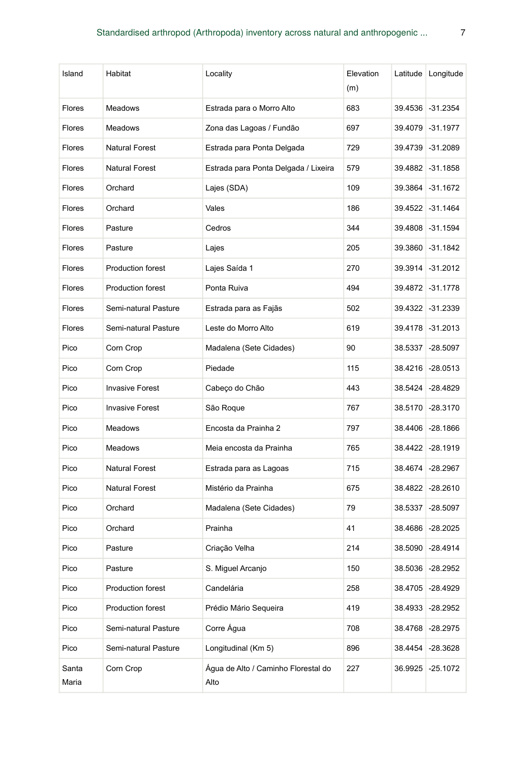| Island         | Habitat                  | Locality                                    | Elevation<br>(m) |         | Latitude Longitude |
|----------------|--------------------------|---------------------------------------------|------------------|---------|--------------------|
| Flores         | Meadows                  | Estrada para o Morro Alto                   | 683              | 39.4536 | $-31.2354$         |
| <b>Flores</b>  | Meadows                  | Zona das Lagoas / Fundão                    | 697              | 39.4079 | $-31.1977$         |
| <b>Flores</b>  | <b>Natural Forest</b>    | Estrada para Ponta Delgada                  | 729              | 39.4739 | $-31.2089$         |
| <b>Flores</b>  | <b>Natural Forest</b>    | Estrada para Ponta Delgada / Lixeira        | 579              | 39.4882 | $-31.1858$         |
| <b>Flores</b>  | Orchard                  | Lajes (SDA)                                 | 109              | 39.3864 | $-31.1672$         |
| <b>Flores</b>  | Orchard                  | Vales                                       | 186              |         | 39.4522 -31.1464   |
| <b>Flores</b>  | Pasture                  | Cedros                                      | 344              | 39.4808 | $-31.1594$         |
| Flores         | Pasture                  | Lajes                                       | 205              |         | 39.3860 -31.1842   |
| Flores         | <b>Production forest</b> | Lajes Saída 1                               | 270              | 39.3914 | $-31.2012$         |
| Flores         | Production forest        | Ponta Ruiva                                 | 494              |         | 39.4872 - 31.1778  |
| <b>Flores</b>  | Semi-natural Pasture     | Estrada para as Fajãs                       | 502              |         | 39.4322 -31.2339   |
| <b>Flores</b>  | Semi-natural Pasture     | Leste do Morro Alto                         | 619              |         | 39.4178 31.2013    |
| Pico           | Corn Crop                | Madalena (Sete Cidades)                     | 90               | 38.5337 | $-28.5097$         |
| Pico           | Corn Crop                | Piedade                                     | 115              |         | 38.4216 -28.0513   |
| Pico           | <b>Invasive Forest</b>   | Cabeço do Chão                              | 443              | 38.5424 | $-28.4829$         |
| Pico           | <b>Invasive Forest</b>   | São Roque                                   | 767              | 38.5170 | $-28.3170$         |
| Pico           | Meadows                  | Encosta da Prainha 2                        | 797              | 38.4406 | $-28.1866$         |
| Pico           | Meadows                  | Meia encosta da Prainha                     | 765              |         | 38.4422 -28.1919   |
| Pico           | <b>Natural Forest</b>    | Estrada para as Lagoas                      | 715              | 38.4674 | $-28.2967$         |
| Pico           | <b>Natural Forest</b>    | Mistério da Prainha                         | 675              |         | 38.4822 -28.2610   |
| Pico           | Orchard                  | Madalena (Sete Cidades)                     | 79               | 38.5337 | $-28.5097$         |
| Pico           | Orchard                  | Prainha                                     | 41               |         | 38.4686 -28.2025   |
| Pico           | Pasture                  | Criação Velha                               | 214              | 38.5090 | $-28.4914$         |
| Pico           | Pasture                  | S. Miguel Arcanjo                           | 150              |         | 38.5036 -28.2952   |
| Pico           | Production forest        | Candelária                                  | 258              | 38.4705 | $-28.4929$         |
| Pico           | Production forest        | Prédio Mário Segueira                       | 419              | 38.4933 | $-28.2952$         |
| Pico           | Semi-natural Pasture     | Corre Água                                  | 708              | 38.4768 | $-28.2975$         |
| Pico           | Semi-natural Pasture     | Longitudinal (Km 5)                         | 896              | 38.4454 | $-28.3628$         |
| Santa<br>Maria | Corn Crop                | Água de Alto / Caminho Florestal do<br>Alto | 227              | 36.9925 | $-25.1072$         |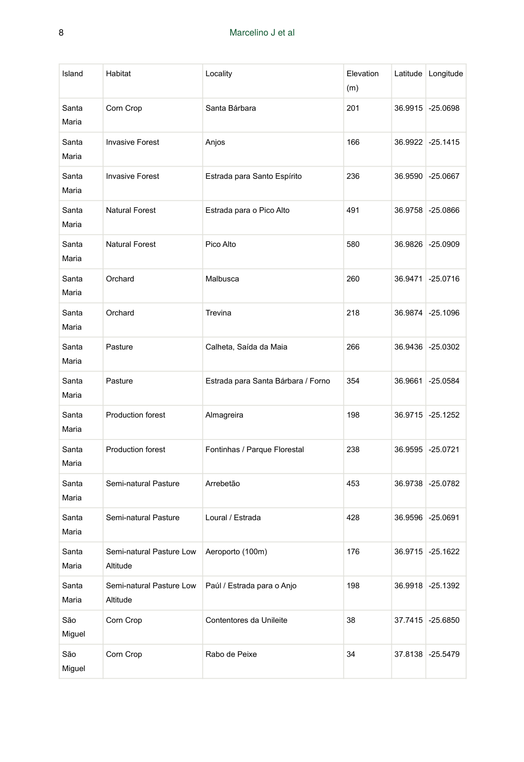| Island         | Habitat                              | Locality                           | Elevation<br>(m) |         | Latitude Longitude |
|----------------|--------------------------------------|------------------------------------|------------------|---------|--------------------|
| Santa<br>Maria | Corn Crop                            | Santa Bárbara                      | 201              |         | 36.9915 -25.0698   |
| Santa<br>Maria | <b>Invasive Forest</b>               | Anjos                              | 166              |         | 36.9922 -25.1415   |
| Santa<br>Maria | <b>Invasive Forest</b>               | Estrada para Santo Espírito        | 236              |         | 36.9590 -25.0667   |
| Santa<br>Maria | <b>Natural Forest</b>                | Estrada para o Pico Alto           | 491              |         | 36.9758 -25.0866   |
| Santa<br>Maria | <b>Natural Forest</b>                | Pico Alto                          | 580              |         | 36.9826 -25.0909   |
| Santa<br>Maria | Orchard                              | Malbusca                           | 260              | 36.9471 | $-25.0716$         |
| Santa<br>Maria | Orchard                              | Trevina                            | 218              |         | 36.9874 -25.1096   |
| Santa<br>Maria | Pasture                              | Calheta, Saída da Maia             | 266              |         | 36.9436 -25.0302   |
| Santa<br>Maria | Pasture                              | Estrada para Santa Bárbara / Forno | 354              |         | 36.9661 -25.0584   |
| Santa<br>Maria | Production forest                    | Almagreira                         | 198              | 36.9715 | $-25.1252$         |
| Santa<br>Maria | Production forest                    | Fontinhas / Parque Florestal       | 238              |         | 36.9595 -25.0721   |
| Santa<br>Maria | Semi-natural Pasture                 | Arrebetão                          | 453              |         | 36.9738 -25.0782   |
| Santa<br>Maria | Semi-natural Pasture                 | Loural / Estrada                   | 428              |         | 36.9596 -25.0691   |
| Santa<br>Maria | Semi-natural Pasture Low<br>Altitude | Aeroporto (100m)                   | 176              |         | 36.9715 -25.1622   |
| Santa<br>Maria | Semi-natural Pasture Low<br>Altitude | Paúl / Estrada para o Anjo         | 198              |         | 36.9918 -25.1392   |
| São<br>Miguel  | Corn Crop                            | Contentores da Unileite            | 38               |         | 37.7415 -25.6850   |
| São<br>Miguel  | Corn Crop                            | Rabo de Peixe                      | 34               |         | 37.8138 -25.5479   |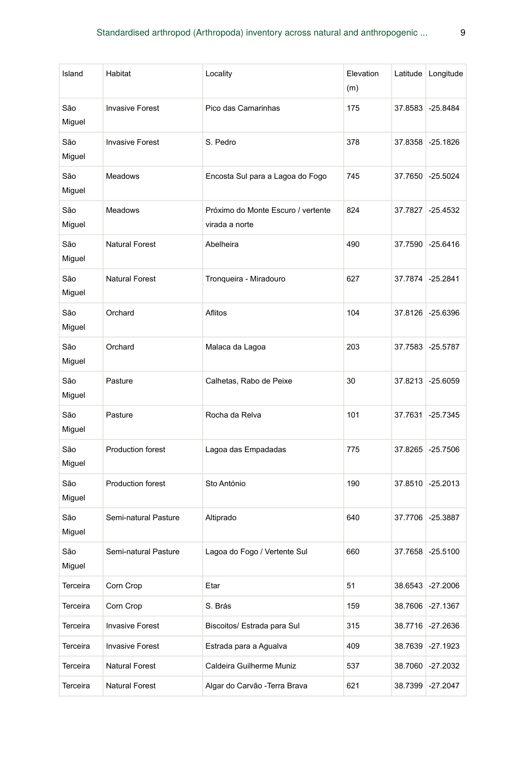| Island        | Habitat                  | Locality                                             | Elevation<br>(m) | Latitude | Longitude  |
|---------------|--------------------------|------------------------------------------------------|------------------|----------|------------|
| São<br>Miguel | <b>Invasive Forest</b>   | Pico das Camarinhas                                  | 175              | 37.8583  | $-25.8484$ |
| São<br>Miguel | <b>Invasive Forest</b>   | S. Pedro                                             | 378              | 37.8358  | $-25.1826$ |
| São<br>Miguel | <b>Meadows</b>           | Encosta Sul para a Lagoa do Fogo                     | 745              | 37.7650  | $-25.5024$ |
| São<br>Miguel | Meadows                  | Próximo do Monte Escuro / vertente<br>virada a norte | 824              | 37.7827  | $-25.4532$ |
| São<br>Miguel | <b>Natural Forest</b>    | Abelheira                                            | 490              | 37.7590  | $-25.6416$ |
| São<br>Miguel | <b>Natural Forest</b>    | Tronqueira - Miradouro                               | 627              | 37.7874  | $-25.2841$ |
| São<br>Miguel | Orchard                  | Aflitos                                              | 104              | 37.8126  | $-25.6396$ |
| São<br>Miguel | Orchard                  | Malaca da Lagoa                                      | 203              | 37.7583  | $-25.5787$ |
| São<br>Miguel | Pasture                  | Calhetas, Rabo de Peixe                              | 30               | 37.8213  | $-25.6059$ |
| São<br>Miguel | Pasture                  | Rocha da Relva                                       | 101              | 37.7631  | $-25.7345$ |
| São<br>Miguel | Production forest        | Lagoa das Empadadas                                  | 775              | 37.8265  | $-25.7506$ |
| São<br>Miguel | <b>Production forest</b> | Sto António                                          | 190              | 37.8510  | $-25.2013$ |
| São<br>Miguel | Semi-natural Pasture     | Altiprado                                            | 640              | 37.7706  | $-25.3887$ |
| São<br>Miguel | Semi-natural Pasture     | Lagoa do Fogo / Vertente Sul                         | 660              | 37.7658  | $-25.5100$ |
| Terceira      | Corn Crop                | Etar                                                 | 51               | 38.6543  | $-27.2006$ |
| Terceira      | Corn Crop                | S. Brás                                              | 159              | 38.7606  | $-27.1367$ |
| Terceira      | <b>Invasive Forest</b>   | Biscoitos/ Estrada para Sul                          | 315              | 38.7716  | $-27.2636$ |
| Terceira      | <b>Invasive Forest</b>   | Estrada para a Aqualva                               | 409              | 38.7639  | -27.1923   |
| Terceira      | Natural Forest           | Caldeira Guilherme Muniz                             | 537              | 38.7060  | -27.2032   |
| Terceira      | Natural Forest           | Algar do Carvão - Terra Brava                        | 621              | 38.7399  | $-27.2047$ |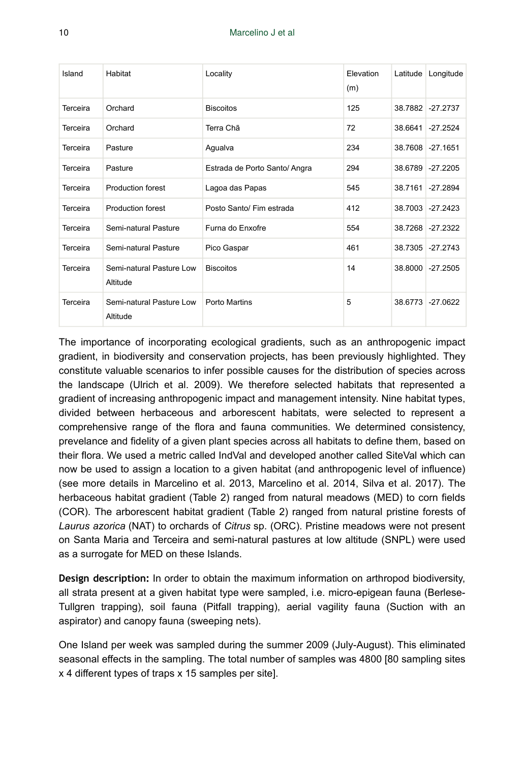| Island   | Habitat                              | Locality                      | Elevation<br>(m) | Latitude | Longitude        |
|----------|--------------------------------------|-------------------------------|------------------|----------|------------------|
| Terceira | Orchard                              | <b>Biscoitos</b>              | 125              |          | 38.7882 -27.2737 |
| Terceira | Orchard                              | Terra Chã                     | 72               | 38.6641  | $-27.2524$       |
| Terceira | Pasture                              | Agualva                       | 234              |          | 38.7608 -27.1651 |
| Terceira | Pasture                              | Estrada de Porto Santo/ Angra | 294              |          | 38.6789 -27.2205 |
| Terceira | <b>Production forest</b>             | Lagoa das Papas               | 545              | 38.7161  | $-27.2894$       |
| Terceira | <b>Production forest</b>             | Posto Santo/ Fim estrada      | 412              |          | 38.7003 -27.2423 |
| Terceira | Semi-natural Pasture                 | Furna do Enxofre              | 554              |          | 38.7268 -27.2322 |
| Terceira | Semi-natural Pasture                 | Pico Gaspar                   | 461              | 38.7305  | $-27.2743$       |
| Terceira | Semi-natural Pasture Low<br>Altitude | <b>Biscoitos</b>              | 14               | 38,8000  | $-27.2505$       |
| Terceira | Semi-natural Pasture Low<br>Altitude | Porto Martins                 | 5                | 38.6773  | $-27.0622$       |

The importance of incorporating ecological gradients, such as an anthropogenic impact gradient, in biodiversity and conservation projects, has been previously highlighted. They constitute valuable scenarios to infer possible causes for the distribution of species across the landscape (Ulrich et al. 2009). We therefore selected habitats that represented a gradient of increasing anthropogenic impact and management intensity. Nine habitat types, divided between herbaceous and arborescent habitats, were selected to represent a comprehensive range of the flora and fauna communities. We determined consistency, prevelance and fidelity of a given plant species across all habitats to define them, based on their flora. We used a metric called IndVal and developed another called SiteVal which can now be used to assign a location to a given habitat (and anthropogenic level of influence) (see more details in Marcelino et al. 2013, Marcelino et al. 2014, Silva et al. 2017). The herbaceous habitat gradient (Table 2) ranged from natural meadows (MED) to corn fields (COR). The arborescent habitat gradient (Table 2) ranged from natural pristine forests of *Laurus azorica* (NAT) to orchards of *Citrus* sp. (ORC). Pristine meadows were not present on Santa Maria and Terceira and semi-natural pastures at low altitude (SNPL) were used as a surrogate for MED on these Islands.

**Design description:** In order to obtain the maximum information on arthropod biodiversity, all strata present at a given habitat type were sampled, i.e. micro-epigean fauna (Berlese-Tullgren trapping), soil fauna (Pitfall trapping), aerial vagility fauna (Suction with an aspirator) and canopy fauna (sweeping nets).

One Island per week was sampled during the summer 2009 (July-August). This eliminated seasonal effects in the sampling. The total number of samples was 4800 [80 sampling sites x 4 different types of traps x 15 samples per site].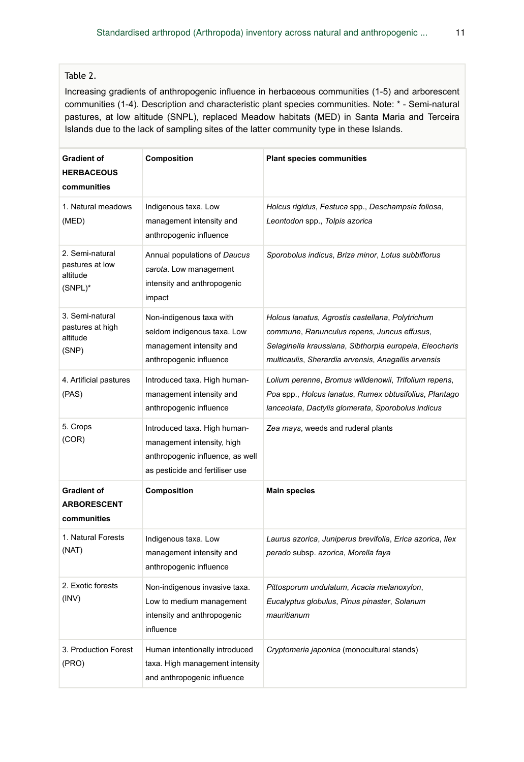#### Table 2.

Increasing gradients of anthropogenic influence in herbaceous communities (1-5) and arborescent communities (1-4). Description and characteristic plant species communities. Note: \* - Semi-natural pastures, at low altitude (SNPL), replaced Meadow habitats (MED) in Santa Maria and Terceira Islands due to the lack of sampling sites of the latter community type in these Islands.

| <b>Gradient of</b><br><b>HERBACEOUS</b><br>communities       | Composition                                                                                                                       | <b>Plant species communities</b>                                                                                                                                                                                  |
|--------------------------------------------------------------|-----------------------------------------------------------------------------------------------------------------------------------|-------------------------------------------------------------------------------------------------------------------------------------------------------------------------------------------------------------------|
| 1. Natural meadows<br>(MED)                                  | Indigenous taxa. Low<br>management intensity and<br>anthropogenic influence                                                       | Holcus rigidus, Festuca spp., Deschampsia foliosa,<br>Leontodon spp., Tolpis azorica                                                                                                                              |
| 2. Semi-natural<br>pastures at low<br>altitude<br>$(SNPL)^*$ | Annual populations of Daucus<br>carota. Low management<br>intensity and anthropogenic<br>impact                                   | Sporobolus indicus, Briza minor, Lotus subbiflorus                                                                                                                                                                |
| 3. Semi-natural<br>pastures at high<br>altitude<br>(SNP)     | Non-indigenous taxa with<br>seldom indigenous taxa. Low<br>management intensity and<br>anthropogenic influence                    | Holcus lanatus, Agrostis castellana, Polytrichum<br>commune, Ranunculus repens, Juncus effusus,<br>Selaginella kraussiana, Sibthorpia europeia, Eleocharis<br>multicaulis, Sherardia arvensis, Anagallis arvensis |
| 4. Artificial pastures<br>(PAS)                              | Introduced taxa. High human-<br>management intensity and<br>anthropogenic influence                                               | Lolium perenne, Bromus willdenowii, Trifolium repens,<br>Poa spp., Holcus lanatus, Rumex obtusifolius, Plantago<br>lanceolata, Dactylis glomerata, Sporobolus indicus                                             |
| 5. Crops<br>(COR)                                            | Introduced taxa. High human-<br>management intensity, high<br>anthropogenic influence, as well<br>as pesticide and fertiliser use | Zea mays, weeds and ruderal plants                                                                                                                                                                                |
| <b>Gradient of</b><br><b>ARBORESCENT</b><br>communities      | Composition                                                                                                                       | Main species                                                                                                                                                                                                      |
| 1. Natural Forests<br>(NAT)                                  | Indigenous taxa. Low<br>management intensity and<br>anthropogenic influence                                                       | Laurus azorica, Juniperus brevifolia, Erica azorica, Ilex<br>perado subsp. azorica, Morella faya                                                                                                                  |
| 2. Exotic forests<br>(INV)                                   | Non-indigenous invasive taxa.<br>Low to medium management<br>intensity and anthropogenic<br>influence                             | Pittosporum undulatum, Acacia melanoxylon,<br>Eucalyptus globulus, Pinus pinaster, Solanum<br>mauritianum                                                                                                         |
| 3. Production Forest<br>(PRO)                                | Human intentionally introduced<br>taxa. High management intensity<br>and anthropogenic influence                                  | Cryptomeria japonica (monocultural stands)                                                                                                                                                                        |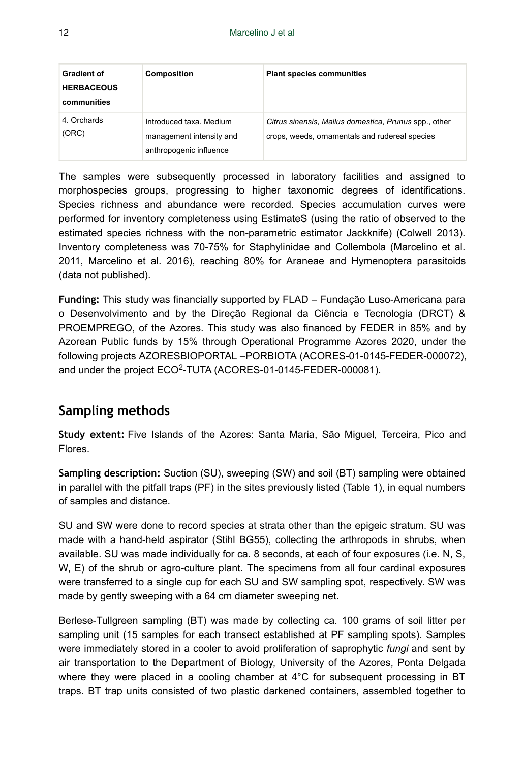| <b>Gradient of</b><br><b>HERBACEOUS</b><br>communities | <b>Composition</b>                                                             | <b>Plant species communities</b>                                                                        |
|--------------------------------------------------------|--------------------------------------------------------------------------------|---------------------------------------------------------------------------------------------------------|
| 4. Orchards<br>(ORC)                                   | Introduced taxa. Medium<br>management intensity and<br>anthropogenic influence | Citrus sinensis, Mallus domestica, Prunus spp., other<br>crops, weeds, ornamentals and rudereal species |

The samples were subsequently processed in laboratory facilities and assigned to morphospecies groups, progressing to higher taxonomic degrees of identifications. Species richness and abundance were recorded. Species accumulation curves were performed for inventory completeness using EstimateS (using the ratio of observed to the estimated species richness with the non-parametric estimator Jackknife) (Colwell 2013). Inventory completeness was 70-75% for Staphylinidae and Collembola (Marcelino et al. 2011, Marcelino et al. 2016), reaching 80% for Araneae and Hymenoptera parasitoids (data not published).

**Funding:** This study was financially supported by FLAD – Fundação Luso-Americana para o Desenvolvimento and by the Direção Regional da Ciência e Tecnologia (DRCT) & PROEMPREGO, of the Azores. This study was also financed by FEDER in 85% and by Azorean Public funds by 15% through Operational Programme Azores 2020, under the following projects AZORESBIOPORTAL –PORBIOTA (ACORES-01-0145-FEDER-000072), and under the project ECO<sup>2</sup>-TUTA (ACORES-01-0145-FEDER-000081).

# **Sampling methods**

**Study extent:** Five Islands of the Azores: Santa Maria, São Miguel, Terceira, Pico and Flores.

**Sampling description:** Suction (SU), sweeping (SW) and soil (BT) sampling were obtained in parallel with the pitfall traps (PF) in the sites previously listed (Table 1), in equal numbers of samples and distance.

SU and SW were done to record species at strata other than the epigeic stratum. SU was made with a hand-held aspirator (Stihl BG55), collecting the arthropods in shrubs, when available. SU was made individually for ca. 8 seconds, at each of four exposures (i.e. N, S, W, E) of the shrub or agro-culture plant. The specimens from all four cardinal exposures were transferred to a single cup for each SU and SW sampling spot, respectively. SW was made by gently sweeping with a 64 cm diameter sweeping net.

Berlese-Tullgreen sampling (BT) was made by collecting ca. 100 grams of soil litter per sampling unit (15 samples for each transect established at PF sampling spots). Samples were immediately stored in a cooler to avoid proliferation of saprophytic *fungi* and sent by air transportation to the Department of Biology, University of the Azores, Ponta Delgada where they were placed in a cooling chamber at 4°C for subsequent processing in BT traps. BT trap units consisted of two plastic darkened containers, assembled together to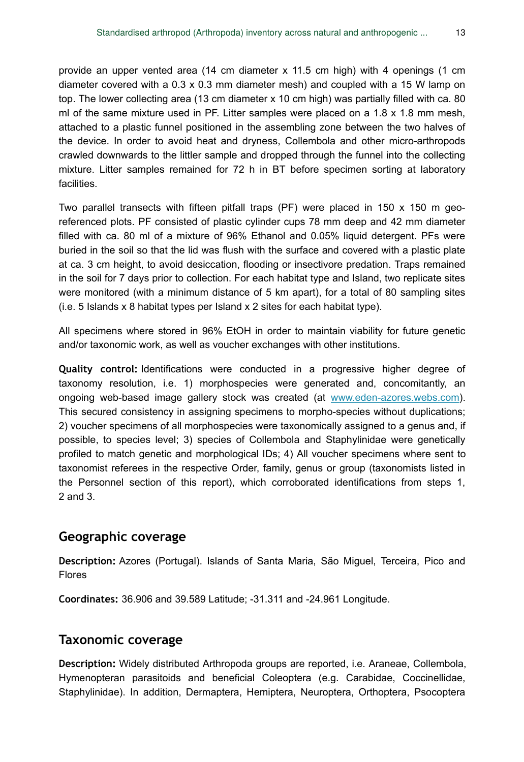provide an upper vented area (14 cm diameter x 11.5 cm high) with 4 openings (1 cm diameter covered with a 0.3 x 0.3 mm diameter mesh) and coupled with a 15 W lamp on top. The lower collecting area (13 cm diameter x 10 cm high) was partially filled with ca. 80 ml of the same mixture used in PF. Litter samples were placed on a 1.8 x 1.8 mm mesh, attached to a plastic funnel positioned in the assembling zone between the two halves of the device. In order to avoid heat and dryness, Collembola and other micro-arthropods crawled downwards to the littler sample and dropped through the funnel into the collecting mixture. Litter samples remained for 72 h in BT before specimen sorting at laboratory facilities.

Two parallel transects with fifteen pitfall traps (PF) were placed in 150  $\times$  150 m georeferenced plots. PF consisted of plastic cylinder cups 78 mm deep and 42 mm diameter filled with ca. 80 ml of a mixture of 96% Ethanol and 0.05% liquid detergent. PFs were buried in the soil so that the lid was flush with the surface and covered with a plastic plate at ca. 3 cm height, to avoid desiccation, flooding or insectivore predation. Traps remained in the soil for 7 days prior to collection. For each habitat type and Island, two replicate sites were monitored (with a minimum distance of 5 km apart), for a total of 80 sampling sites (i.e. 5 Islands x 8 habitat types per Island x 2 sites for each habitat type).

All specimens where stored in 96% EtOH in order to maintain viability for future genetic and/or taxonomic work, as well as voucher exchanges with other institutions.

**Quality control:** Identifications were conducted in a progressive higher degree of taxonomy resolution, i.e. 1) morphospecies were generated and, concomitantly, an ongoing web-based image gallery stock was created (at [www.eden-azores.webs.com\)](http://www.eden-azores.webs.com). This secured consistency in assigning specimens to morpho-species without duplications; 2) voucher specimens of all morphospecies were taxonomically assigned to a genus and, if possible, to species level; 3) species of Collembola and Staphylinidae were genetically profiled to match genetic and morphological IDs; 4) All voucher specimens where sent to taxonomist referees in the respective Order, family, genus or group (taxonomists listed in the Personnel section of this report), which corroborated identifications from steps 1, 2 and 3.

#### **Geographic coverage**

**Description:** Azores (Portugal). Islands of Santa Maria, São Miguel, Terceira, Pico and Flores

**Coordinates:** 36.906 and 39.589 Latitude; -31.311 and -24.961 Longitude.

#### **Taxonomic coverage**

**Description:** Widely distributed Arthropoda groups are reported, i.e. Araneae, Collembola, Hymenopteran parasitoids and beneficial Coleoptera (e.g. Carabidae, Coccinellidae, Staphylinidae). In addition, Dermaptera, Hemiptera, Neuroptera, Orthoptera, Psocoptera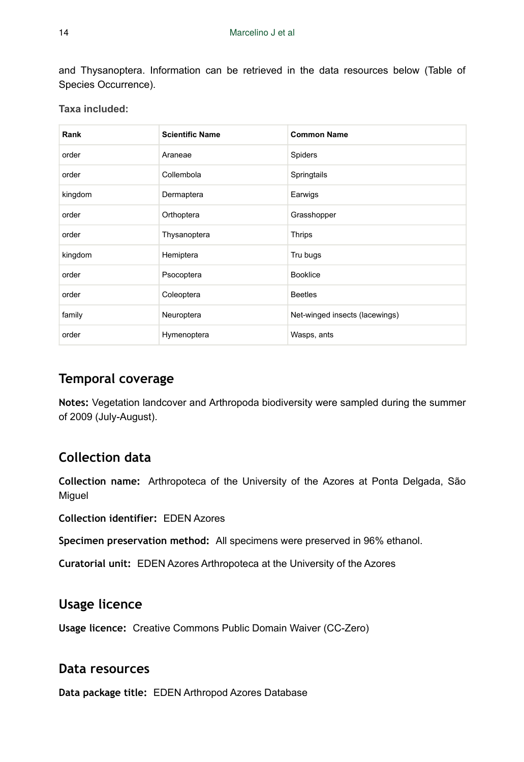and Thysanoptera. Information can be retrieved in the data resources below (Table of Species Occurrence).

|  |  | Taxa included: |  |
|--|--|----------------|--|
|--|--|----------------|--|

| Rank    | <b>Scientific Name</b> | <b>Common Name</b>             |
|---------|------------------------|--------------------------------|
| order   | Araneae                | Spiders                        |
| order   | Collembola             | Springtails                    |
| kingdom | Dermaptera             | Earwigs                        |
| order   | Orthoptera             | Grasshopper                    |
| order   | Thysanoptera           | <b>Thrips</b>                  |
| kingdom | Hemiptera              | Tru bugs                       |
| order   | Psocoptera             | <b>Booklice</b>                |
| order   | Coleoptera             | <b>Beetles</b>                 |
| family  | Neuroptera             | Net-winged insects (lacewings) |
| order   | Hymenoptera            | Wasps, ants                    |

# **Temporal coverage**

**Notes:** Vegetation landcover and Arthropoda biodiversity were sampled during the summer of 2009 (July-August).

# **Collection data**

**Collection name:** Arthropoteca of the University of the Azores at Ponta Delgada, São **Miguel** 

**Collection identifier:** EDEN Azores

**Specimen preservation method:** All specimens were preserved in 96% ethanol.

**Curatorial unit:** EDEN Azores Arthropoteca at the University of the Azores

## **Usage licence**

**Usage licence:** Creative Commons Public Domain Waiver (CC-Zero)

### **Data resources**

**Data package title:** EDEN Arthropod Azores Database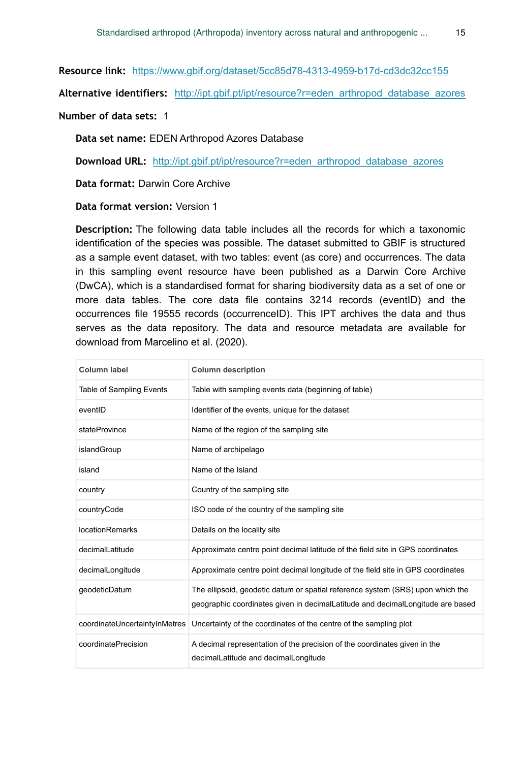**Resource link:** <https://www.gbif.org/dataset/5cc85d78-4313-4959-b17d-cd3dc32cc155>

**Alternative identifiers:** [http://ipt.gbif.pt/ipt/resource?r=eden\\_arthropod\\_database\\_azores](http://ipt.gbif.pt/ipt/resource?r=eden_arthropod_database_azores)

**Number of data sets:** 1

**Data set name:** EDEN Arthropod Azores Database

**Download URL:** [http://ipt.gbif.pt/ipt/resource?r=eden\\_arthropod\\_database\\_azores](http://ipt.gbif.pt/ipt/resource?r=eden_arthropod_database_azores)

**Data format:** Darwin Core Archive

**Data format version:** Version 1

**Description:** The following data table includes all the records for which a taxonomic identification of the species was possible. The dataset submitted to GBIF is structured as a sample event dataset, with two tables: event (as core) and occurrences. The data in this sampling event resource have been published as a Darwin Core Archive (DwCA), which is a standardised format for sharing biodiversity data as a set of one or more data tables. The core data file contains 3214 records (eventID) and the occurrences file 19555 records (occurrenceID). This IPT archives the data and thus serves as the data repository. The data and resource metadata are available for download from Marcelino et al. (2020).

| Column label                  | <b>Column description</b>                                                                                                                                        |
|-------------------------------|------------------------------------------------------------------------------------------------------------------------------------------------------------------|
| Table of Sampling Events      | Table with sampling events data (beginning of table)                                                                                                             |
| eventID                       | Identifier of the events, unique for the dataset                                                                                                                 |
| stateProvince                 | Name of the region of the sampling site                                                                                                                          |
| islandGroup                   | Name of archipelago                                                                                                                                              |
| island                        | Name of the Island                                                                                                                                               |
| country                       | Country of the sampling site                                                                                                                                     |
| countryCode                   | ISO code of the country of the sampling site                                                                                                                     |
| <b>locationRemarks</b>        | Details on the locality site                                                                                                                                     |
| decimalLatitude               | Approximate centre point decimal latitude of the field site in GPS coordinates                                                                                   |
| decimalLongitude              | Approximate centre point decimal longitude of the field site in GPS coordinates                                                                                  |
| qeodeticDatum                 | The ellipsoid, geodetic datum or spatial reference system (SRS) upon which the<br>geographic coordinates given in decimalLatitude and decimalLongitude are based |
| coordinateUncertaintyInMetres | Uncertainty of the coordinates of the centre of the sampling plot                                                                                                |
| coordinatePrecision           | A decimal representation of the precision of the coordinates given in the<br>decimalLatitude and decimalLongitude                                                |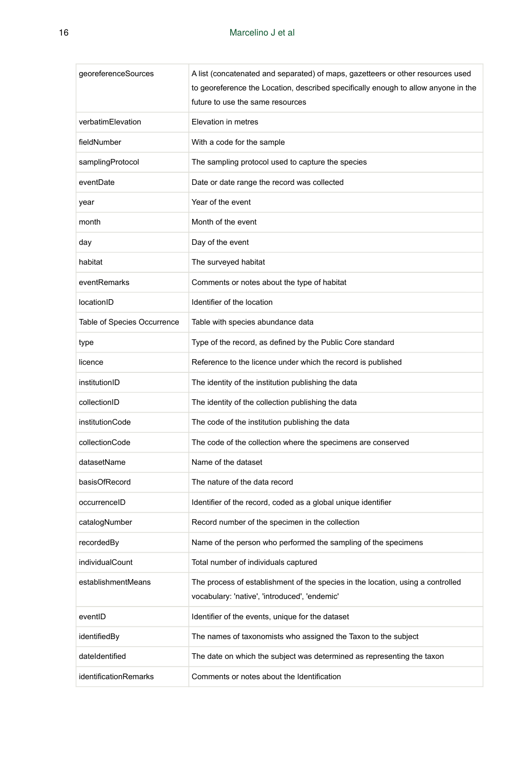| georeferenceSources         | A list (concatenated and separated) of maps, gazetteers or other resources used<br>to georeference the Location, described specifically enough to allow anyone in the<br>future to use the same resources |
|-----------------------------|-----------------------------------------------------------------------------------------------------------------------------------------------------------------------------------------------------------|
| verbatimElevation           | Elevation in metres                                                                                                                                                                                       |
| fieldNumber                 | With a code for the sample                                                                                                                                                                                |
| samplingProtocol            | The sampling protocol used to capture the species                                                                                                                                                         |
| eventDate                   | Date or date range the record was collected                                                                                                                                                               |
| year                        | Year of the event                                                                                                                                                                                         |
| month                       | Month of the event                                                                                                                                                                                        |
| day                         | Day of the event                                                                                                                                                                                          |
| habitat                     | The surveyed habitat                                                                                                                                                                                      |
| eventRemarks                | Comments or notes about the type of habitat                                                                                                                                                               |
| locationID                  | Identifier of the location                                                                                                                                                                                |
| Table of Species Occurrence | Table with species abundance data                                                                                                                                                                         |
| type                        | Type of the record, as defined by the Public Core standard                                                                                                                                                |
| licence                     | Reference to the licence under which the record is published                                                                                                                                              |
| institutionID               | The identity of the institution publishing the data                                                                                                                                                       |
| collectionID                | The identity of the collection publishing the data                                                                                                                                                        |
| institutionCode             | The code of the institution publishing the data                                                                                                                                                           |
| collectionCode              | The code of the collection where the specimens are conserved                                                                                                                                              |
| datasetName                 | Name of the dataset                                                                                                                                                                                       |
| basisOfRecord               | The nature of the data record                                                                                                                                                                             |
| occurrenceID                | Identifier of the record, coded as a global unique identifier                                                                                                                                             |
| catalogNumber               | Record number of the specimen in the collection                                                                                                                                                           |
| recordedBy                  | Name of the person who performed the sampling of the specimens                                                                                                                                            |
| individualCount             | Total number of individuals captured                                                                                                                                                                      |
| establishmentMeans          | The process of establishment of the species in the location, using a controlled<br>vocabulary: 'native', 'introduced', 'endemic'                                                                          |
| eventID                     | Identifier of the events, unique for the dataset                                                                                                                                                          |
| identifiedBy                | The names of taxonomists who assigned the Taxon to the subject                                                                                                                                            |
| dateIdentified              | The date on which the subject was determined as representing the taxon                                                                                                                                    |
| identificationRemarks       | Comments or notes about the Identification                                                                                                                                                                |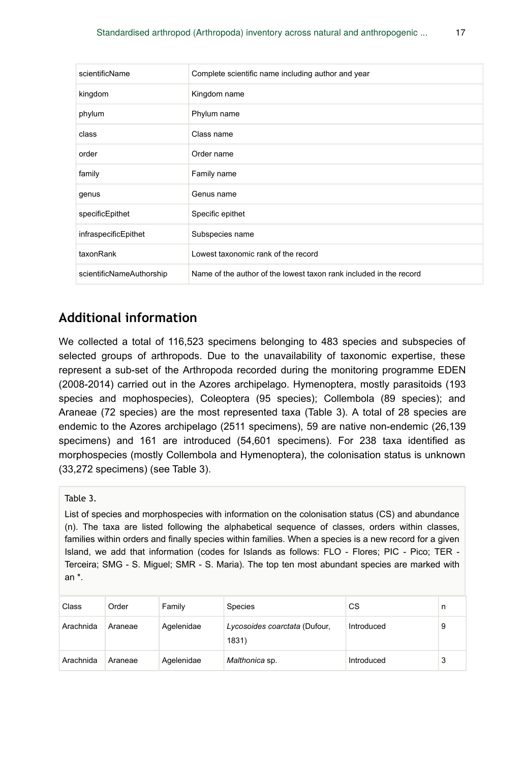| scientificName           | Complete scientific name including author and year                 |
|--------------------------|--------------------------------------------------------------------|
| kingdom                  | Kingdom name                                                       |
| phylum                   | Phylum name                                                        |
| class                    | Class name                                                         |
| order                    | Order name                                                         |
| family                   | Family name                                                        |
| genus                    | Genus name                                                         |
| specificEpithet          | Specific epithet                                                   |
| infraspecificEpithet     | Subspecies name                                                    |
| taxonRank                | Lowest taxonomic rank of the record                                |
| scientificNameAuthorship | Name of the author of the lowest taxon rank included in the record |

# **Additional information**

We collected a total of 116,523 specimens belonging to 483 species and subspecies of selected groups of arthropods. Due to the unavailability of taxonomic expertise, these represent a sub-set of the Arthropoda recorded during the monitoring programme EDEN (2008-2014) carried out in the Azores archipelago. Hymenoptera, mostly parasitoids (193 species and mophospecies), Coleoptera (95 species); Collembola (89 species); and Araneae (72 species) are the most represented taxa (Table 3). A total of 28 species are endemic to the Azores archipelago (2511 specimens), 59 are native non-endemic (26,139 specimens) and 161 are introduced (54,601 specimens). For 238 taxa identified as morphospecies (mostly Collembola and Hymenoptera), the colonisation status is unknown (33,272 specimens) (see Table 3).

Table 3.

List of species and morphospecies with information on the colonisation status (CS) and abundance (n). The taxa are listed following the alphabetical sequence of classes, orders within classes, families within orders and finally species within families. When a species is a new record for a given Island, we add that information (codes for Islands as follows: FLO - Flores; PIC - Pico; TER - Terceira; SMG - S. Miguel; SMR - S. Maria). The top ten most abundant species are marked with an \*.

| Class     | Order   | Family     | <b>Species</b>                         | СS         | n |
|-----------|---------|------------|----------------------------------------|------------|---|
| Arachnida | Araneae | Agelenidae | Lycosoides coarctata (Dufour,<br>1831) | Introduced | 9 |
| Arachnida | Araneae | Agelenidae | Malthonica sp.                         | Introduced |   |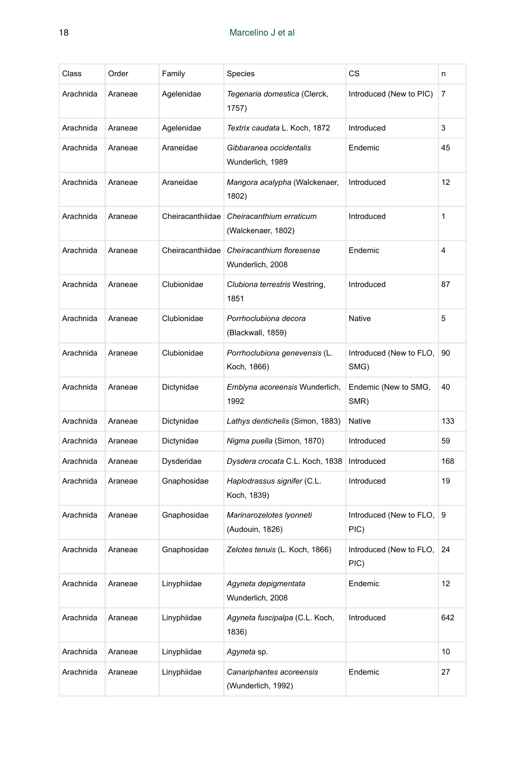| Class     | Order   | Family           | Species                                        | СS                              | n   |
|-----------|---------|------------------|------------------------------------------------|---------------------------------|-----|
| Arachnida | Araneae | Agelenidae       | Tegenaria domestica (Clerck,<br>1757)          | Introduced (New to PIC)         | 7   |
| Arachnida | Araneae | Agelenidae       | Textrix caudata L. Koch, 1872                  | Introduced                      | 3   |
| Arachnida | Araneae | Araneidae        | Gibbaranea occidentalis<br>Wunderlich, 1989    | Endemic                         | 45  |
| Arachnida | Araneae | Araneidae        | Mangora acalypha (Walckenaer,<br>1802)         | Introduced                      | 12  |
| Arachnida | Araneae | Cheiracanthiidae | Cheiracanthium erraticum<br>(Walckenaer, 1802) | Introduced                      | 1   |
| Arachnida | Araneae | Cheiracanthiidae | Cheiracanthium floresense<br>Wunderlich, 2008  | Endemic                         | 4   |
| Arachnida | Araneae | Clubionidae      | Clubiona terrestris Westring,<br>1851          | Introduced                      | 87  |
| Arachnida | Araneae | Clubionidae      | Porrhoclubiona decora<br>(Blackwall, 1859)     | Native                          | 5   |
| Arachnida | Araneae | Clubionidae      | Porrhoclubiona genevensis (L.<br>Koch, 1866)   | Introduced (New to FLO,<br>SMG) | 90  |
| Arachnida | Araneae | Dictynidae       | Emblyna acoreensis Wunderlich,<br>1992         | Endemic (New to SMG,<br>SMR)    | 40  |
| Arachnida | Araneae | Dictynidae       | Lathys dentichelis (Simon, 1883)               | Native                          | 133 |
| Arachnida | Araneae | Dictynidae       | Nigma puella (Simon, 1870)                     | Introduced                      | 59  |
| Arachnida | Araneae | Dysderidae       | Dysdera crocata C.L. Koch, 1838                | Introduced                      | 168 |
| Arachnida | Araneae | Gnaphosidae      | Haplodrassus signifer (C.L.<br>Koch, 1839)     | Introduced                      | 19  |
| Arachnida | Araneae | Gnaphosidae      | Marinarozelotes Iyonneti<br>(Audouin, 1826)    | Introduced (New to FLO,<br>PIC) | 9   |
| Arachnida | Araneae | Gnaphosidae      | Zelotes tenuis (L. Koch, 1866)                 | Introduced (New to FLO,<br>PIC) | 24  |
| Arachnida | Araneae | Linyphiidae      | Agyneta depigmentata<br>Wunderlich, 2008       | Endemic                         | 12  |
| Arachnida | Araneae | Linyphiidae      | Agyneta fuscipalpa (C.L. Koch,<br>1836)        | Introduced                      | 642 |
| Arachnida | Araneae | Linyphiidae      | Agyneta sp.                                    |                                 | 10  |
| Arachnida | Araneae | Linyphiidae      | Canariphantes acoreensis<br>(Wunderlich, 1992) | Endemic                         | 27  |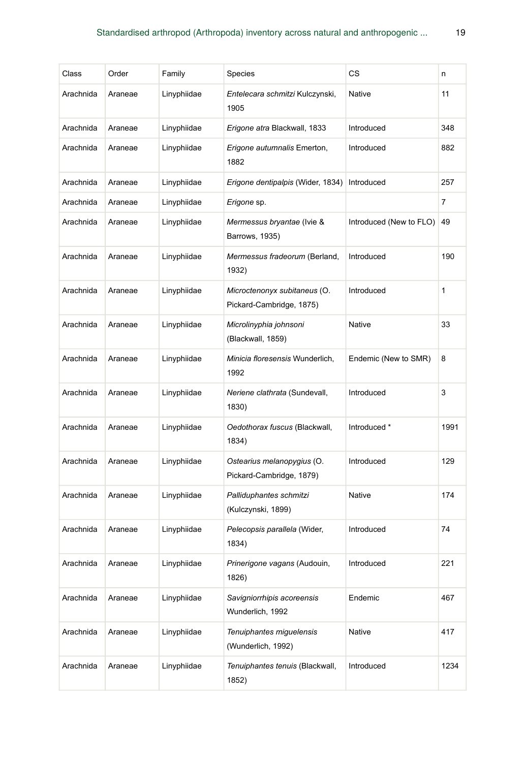| Class     | Order   | Family      | Species                                                  | СS                      | n    |
|-----------|---------|-------------|----------------------------------------------------------|-------------------------|------|
| Arachnida | Araneae | Linyphiidae | Entelecara schmitzi Kulczynski,<br>1905                  | Native                  | 11   |
| Arachnida | Araneae | Linyphiidae | Erigone atra Blackwall, 1833                             | Introduced              | 348  |
| Arachnida | Araneae | Linyphiidae | Erigone autumnalis Emerton,<br>1882                      | Introduced              | 882  |
| Arachnida | Araneae | Linyphiidae | Erigone dentipalpis (Wider, 1834)                        | Introduced              | 257  |
| Arachnida | Araneae | Linyphiidae | Erigone sp.                                              |                         | 7    |
| Arachnida | Araneae | Linyphiidae | Mermessus bryantae (Ivie &<br>Barrows, 1935)             | Introduced (New to FLO) | 49   |
| Arachnida | Araneae | Linyphiidae | Mermessus fradeorum (Berland,<br>1932)                   | Introduced              | 190  |
| Arachnida | Araneae | Linyphiidae | Microctenonyx subitaneus (O.<br>Pickard-Cambridge, 1875) | Introduced              | 1    |
| Arachnida | Araneae | Linyphiidae | Microlinyphia johnsoni<br>(Blackwall, 1859)              | Native                  | 33   |
| Arachnida | Araneae | Linyphiidae | Minicia floresensis Wunderlich,<br>1992                  | Endemic (New to SMR)    | 8    |
| Arachnida | Araneae | Linyphiidae | Neriene clathrata (Sundevall,<br>1830)                   | Introduced              | 3    |
| Arachnida | Araneae | Linyphiidae | Oedothorax fuscus (Blackwall,<br>1834)                   | Introduced *            | 1991 |
| Arachnida | Araneae | Linyphiidae | Ostearius melanopygius (O.<br>Pickard-Cambridge, 1879)   | Introduced              | 129  |
| Arachnida | Araneae | Linyphiidae | Palliduphantes schmitzi<br>(Kulczynski, 1899)            | Native                  | 174  |
| Arachnida | Araneae | Linyphiidae | Pelecopsis parallela (Wider,<br>1834)                    | Introduced              | 74   |
| Arachnida | Araneae | Linyphiidae | Prinerigone vagans (Audouin,<br>1826)                    | Introduced              | 221  |
| Arachnida | Araneae | Linyphiidae | Savigniorrhipis acoreensis<br>Wunderlich, 1992           | Endemic                 | 467  |
| Arachnida | Araneae | Linyphiidae | Tenuiphantes miguelensis<br>(Wunderlich, 1992)           | Native                  | 417  |
| Arachnida | Araneae | Linyphiidae | Tenuiphantes tenuis (Blackwall,<br>1852)                 | Introduced              | 1234 |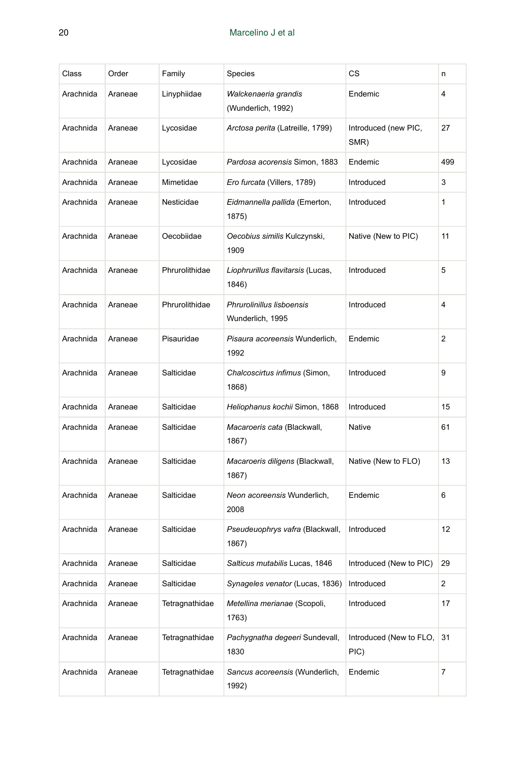| Class     | Order   | Family         | Species                                       | СS                              | n   |
|-----------|---------|----------------|-----------------------------------------------|---------------------------------|-----|
| Arachnida | Araneae | Linyphiidae    | Walckenaeria grandis<br>(Wunderlich, 1992)    | Endemic                         | 4   |
| Arachnida | Araneae | Lycosidae      | Arctosa perita (Latreille, 1799)              | Introduced (new PIC,<br>SMR)    | 27  |
| Arachnida | Araneae | Lycosidae      | Pardosa acorensis Simon, 1883                 | Endemic                         | 499 |
| Arachnida | Araneae | Mimetidae      | Ero furcata (Villers, 1789)                   | Introduced                      | 3   |
| Arachnida | Araneae | Nesticidae     | Eidmannella pallida (Emerton,<br>1875)        | Introduced                      | 1   |
| Arachnida | Araneae | Oecobiidae     | Oecobius similis Kulczynski,<br>1909          | Native (New to PIC)             | 11  |
| Arachnida | Araneae | Phrurolithidae | Liophrurillus flavitarsis (Lucas,<br>1846)    | Introduced                      | 5   |
| Arachnida | Araneae | Phrurolithidae | Phrurolinillus lisboensis<br>Wunderlich, 1995 | Introduced                      | 4   |
| Arachnida | Araneae | Pisauridae     | Pisaura acoreensis Wunderlich,<br>1992        | Endemic                         | 2   |
| Arachnida | Araneae | Salticidae     | Chalcoscirtus infimus (Simon,<br>1868)        | Introduced                      | 9   |
| Arachnida | Araneae | Salticidae     | Heliophanus kochii Simon, 1868                | Introduced                      | 15  |
| Arachnida | Araneae | Salticidae     | Macaroeris cata (Blackwall,<br>1867)          | Native                          | 61  |
| Arachnida | Araneae | Salticidae     | Macaroeris diligens (Blackwall,<br>1867)      | Native (New to FLO)             | 13  |
| Arachnida | Araneae | Salticidae     | Neon acoreensis Wunderlich,<br>2008           | Endemic                         | 6   |
| Arachnida | Araneae | Salticidae     | Pseudeuophrys vafra (Blackwall,<br>1867)      | Introduced                      | 12  |
| Arachnida | Araneae | Salticidae     | <i>Salticus mutabilis</i> Lucas, 1846         | Introduced (New to PIC)         | 29  |
| Arachnida | Araneae | Salticidae     | Synageles venator (Lucas, 1836)               | Introduced                      | 2   |
| Arachnida | Araneae | Tetragnathidae | Metellina merianae (Scopoli,<br>1763)         | Introduced                      | 17  |
| Arachnida | Araneae | Tetragnathidae | Pachygnatha degeeri Sundevall,<br>1830        | Introduced (New to FLO,<br>PIC) | 31  |
| Arachnida | Araneae | Tetragnathidae | Sancus acoreensis (Wunderlich,<br>1992)       | Endemic                         | 7   |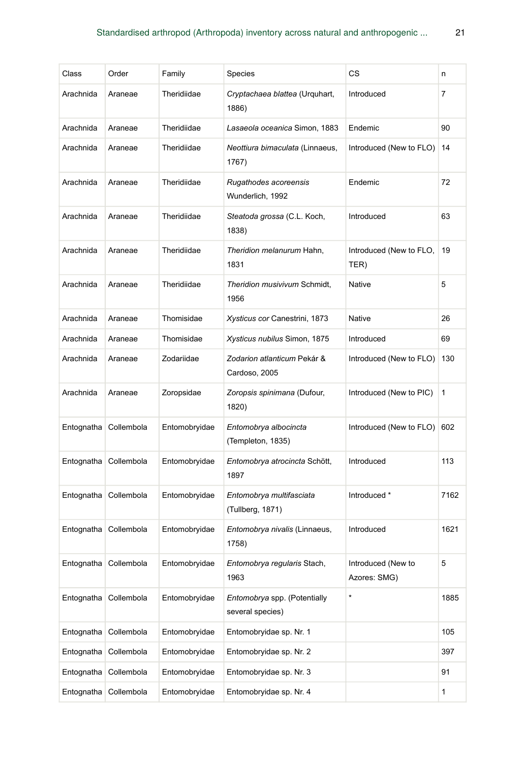| Class      | Order                   | Family        | Species                                          | СS                                 | n    |
|------------|-------------------------|---------------|--------------------------------------------------|------------------------------------|------|
| Arachnida  | Araneae                 | Theridiidae   | Cryptachaea blattea (Urquhart,<br>1886)          | Introduced                         | 7    |
| Arachnida  | Araneae                 | Theridiidae   | Lasaeola oceanica Simon, 1883                    | Endemic                            | 90   |
| Arachnida  | Araneae                 | Theridiidae   | Neottiura bimaculata (Linnaeus,<br>1767)         | Introduced (New to FLO)            | 14   |
| Arachnida  | Araneae                 | Theridiidae   | Rugathodes acoreensis<br>Wunderlich, 1992        | Endemic                            | 72   |
| Arachnida  | Araneae                 | Theridiidae   | Steatoda grossa (C.L. Koch,<br>1838)             | Introduced                         | 63   |
| Arachnida  | Araneae                 | Theridiidae   | Theridion melanurum Hahn,<br>1831                | Introduced (New to FLO,<br>TER)    | 19   |
| Arachnida  | Araneae                 | Theridiidae   | Theridion musivivum Schmidt,<br>1956             | Native                             | 5    |
| Arachnida  | Araneae                 | Thomisidae    | Xysticus cor Canestrini, 1873                    | Native                             | 26   |
| Arachnida  | Araneae                 | Thomisidae    | Xysticus nubilus Simon, 1875                     | Introduced                         | 69   |
| Arachnida  | Araneae                 | Zodariidae    | Zodarion atlanticum Pekár &<br>Cardoso, 2005     | Introduced (New to FLO)            | 130  |
| Arachnida  | Araneae                 | Zoropsidae    | Zoropsis spinimana (Dufour,<br>1820)             | Introduced (New to PIC)            | 1    |
| Entognatha | Collembola              | Entomobryidae | Entomobrya albocincta<br>(Templeton, 1835)       | Introduced (New to FLO)            | 602  |
| Entognatha | Collembola              | Entomobryidae | Entomobrya atrocincta Schött,<br>1897            | Introduced                         | 113  |
|            | Entognatha Collembola   | Entomobryidae | Entomobrya multifasciata<br>(Tullberg, 1871)     | Introduced *                       | 7162 |
|            | Entognatha Collembola   | Entomobryidae | Entomobrya nivalis (Linnaeus,<br>1758)           | Introduced                         | 1621 |
|            | Entognatha   Collembola | Entomobryidae | <i>Entomobrya regularis</i> Stach,<br>1963       | Introduced (New to<br>Azores: SMG) | 5    |
| Entognatha | Collembola              | Entomobryidae | Entomobrya spp. (Potentially<br>several species) | *                                  | 1885 |
| Entognatha | Collembola              | Entomobryidae | Entomobryidae sp. Nr. 1                          |                                    | 105  |
| Entognatha | Collembola              | Entomobryidae | Entomobryidae sp. Nr. 2                          |                                    | 397  |
| Entognatha | Collembola              | Entomobryidae | Entomobryidae sp. Nr. 3                          |                                    | 91   |
| Entognatha | Collembola              | Entomobryidae | Entomobryidae sp. Nr. 4                          |                                    | 1    |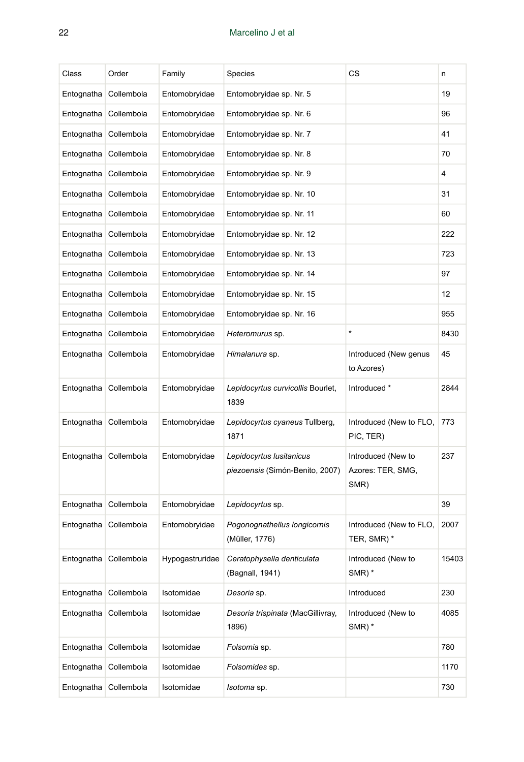| Class                 | Order                   | Family          | Species                                                     | СS                                              | n     |
|-----------------------|-------------------------|-----------------|-------------------------------------------------------------|-------------------------------------------------|-------|
| Entognatha            | Collembola              | Entomobryidae   | Entomobryidae sp. Nr. 5                                     |                                                 | 19    |
| Entognatha            | Collembola              | Entomobryidae   | Entomobryidae sp. Nr. 6                                     |                                                 | 96    |
| Entognatha            | Collembola              | Entomobryidae   | Entomobryidae sp. Nr. 7                                     |                                                 | 41    |
| Entognatha            | Collembola              | Entomobryidae   | Entomobryidae sp. Nr. 8                                     |                                                 | 70    |
| Entognatha            | Collembola              | Entomobryidae   | Entomobryidae sp. Nr. 9                                     |                                                 | 4     |
| Entognatha            | Collembola              | Entomobryidae   | Entomobryidae sp. Nr. 10                                    |                                                 | 31    |
| Entognatha            | Collembola              | Entomobryidae   | Entomobryidae sp. Nr. 11                                    |                                                 | 60    |
| Entognatha            | Collembola              | Entomobryidae   | Entomobryidae sp. Nr. 12                                    |                                                 | 222   |
| Entognatha            | Collembola              | Entomobryidae   | Entomobryidae sp. Nr. 13                                    |                                                 | 723   |
|                       | Entognatha Collembola   | Entomobryidae   | Entomobryidae sp. Nr. 14                                    |                                                 | 97    |
|                       | Entognatha Collembola   | Entomobryidae   | Entomobryidae sp. Nr. 15                                    |                                                 | 12    |
|                       | Entognatha Collembola   | Entomobryidae   | Entomobryidae sp. Nr. 16                                    |                                                 | 955   |
|                       | Entognatha Collembola   | Entomobryidae   | Heteromurus sp.                                             | $\star$                                         | 8430  |
|                       | Entognatha Collembola   | Entomobryidae   | Himalanura sp.                                              | Introduced (New genus<br>to Azores)             | 45    |
|                       |                         |                 |                                                             |                                                 |       |
|                       | Entognatha Collembola   | Entomobryidae   | Lepidocyrtus curvicollis Bourlet,<br>1839                   | Introduced *                                    | 2844  |
|                       | Entognatha Collembola   | Entomobryidae   | Lepidocyrtus cyaneus Tullberg,<br>1871                      | Introduced (New to FLO,<br>PIC, TER)            | 773   |
|                       | Entognatha   Collembola | Entomobryidae   | Lepidocyrtus Iusitanicus<br>piezoensis (Simón-Benito, 2007) | Introduced (New to<br>Azores: TER, SMG,<br>SMR) | 237   |
| Entognatha            | Collembola              | Entomobryidae   | Lepidocyrtus sp.                                            |                                                 | 39    |
|                       | Entognatha   Collembola | Entomobryidae   | Pogonognathellus longicornis<br>(Müller, 1776)              | Introduced (New to FLO,<br>TER, SMR) *          | 2007  |
| Entognatha Collembola |                         | Hypogastruridae | Ceratophysella denticulata<br>(Bagnall, 1941)               | Introduced (New to<br>SMR) *                    | 15403 |
|                       | Entognatha Collembola   | Isotomidae      | Desoria sp.                                                 | Introduced                                      | 230   |
|                       | Entognatha Collembola   | Isotomidae      | Desoria trispinata (MacGillivray,<br>1896)                  | Introduced (New to<br>$SMR)$ *                  | 4085  |
|                       | Entognatha Collembola   | Isotomidae      | Folsomia sp.                                                |                                                 | 780   |
|                       | Entognatha Collembola   | Isotomidae      | Folsomides sp.                                              |                                                 | 1170  |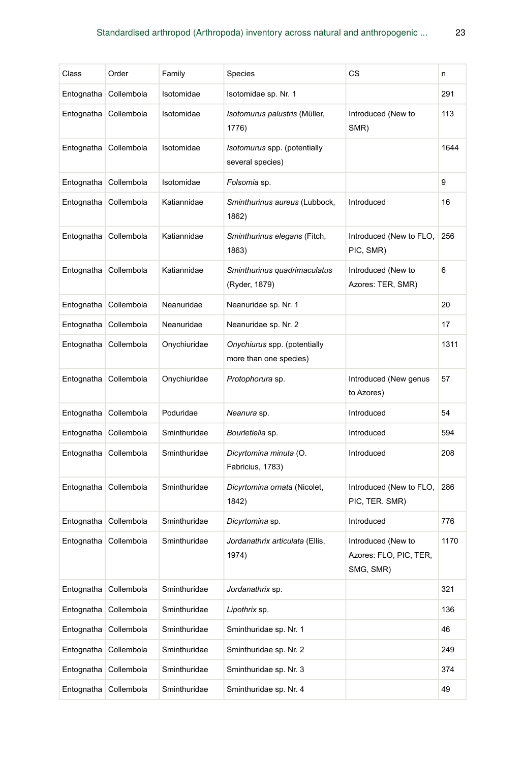| Class      | Order                 | Family       | Species                                                | СS                                                        | n    |
|------------|-----------------------|--------------|--------------------------------------------------------|-----------------------------------------------------------|------|
| Entognatha | Collembola            | Isotomidae   | Isotomidae sp. Nr. 1                                   |                                                           | 291  |
| Entognatha | Collembola            | Isotomidae   | Isotomurus palustris (Müller,<br>1776)                 | Introduced (New to<br>SMR)                                | 113  |
| Entognatha | Collembola            | Isotomidae   | Isotomurus spp. (potentially<br>several species)       |                                                           | 1644 |
| Entognatha | Collembola            | Isotomidae   | Folsomia sp.                                           |                                                           | 9    |
|            | Entognatha Collembola | Katiannidae  | Sminthurinus aureus (Lubbock,<br>1862)                 | Introduced                                                | 16   |
|            | Entognatha Collembola | Katiannidae  | Sminthurinus elegans (Fitch,<br>1863)                  | Introduced (New to FLO,<br>PIC, SMR)                      | 256  |
| Entognatha | Collembola            | Katiannidae  | Sminthurinus quadrimaculatus<br>(Ryder, 1879)          | Introduced (New to<br>Azores: TER, SMR)                   | 6    |
| Entognatha | Collembola            | Neanuridae   | Neanuridae sp. Nr. 1                                   |                                                           | 20   |
| Entognatha | Collembola            | Neanuridae   | Neanuridae sp. Nr. 2                                   |                                                           | 17   |
| Entognatha | Collembola            | Onychiuridae | Onychiurus spp. (potentially<br>more than one species) |                                                           | 1311 |
| Entognatha | Collembola            | Onychiuridae | Protophorura sp.                                       | Introduced (New genus<br>to Azores)                       | 57   |
| Entognatha | Collembola            | Poduridae    | Neanura sp.                                            | Introduced                                                | 54   |
| Entognatha | Collembola            | Sminthuridae | Bourletiella sp.                                       | Introduced                                                | 594  |
| Entognatha | Collembola            | Sminthuridae | Dicyrtomina minuta (O.<br>Fabricius, 1783)             | Introduced                                                | 208  |
| Entognatha | Collembola            | Sminthuridae | Dicyrtomina ornata (Nicolet,<br>1842)                  | Introduced (New to FLO,<br>PIC, TER. SMR)                 | 286  |
| Entognatha | Collembola            | Sminthuridae | Dicyrtomina sp.                                        | Introduced                                                | 776  |
| Entognatha | Collembola            | Sminthuridae | Jordanathrix articulata (Ellis,<br>1974)               | Introduced (New to<br>Azores: FLO, PIC, TER,<br>SMG, SMR) | 1170 |
| Entognatha | Collembola            | Sminthuridae | Jordanathrix sp.                                       |                                                           | 321  |
| Entognatha | Collembola            | Sminthuridae | Lipothrix sp.                                          |                                                           | 136  |
| Entognatha | Collembola            | Sminthuridae | Sminthuridae sp. Nr. 1                                 |                                                           | 46   |
| Entognatha | Collembola            | Sminthuridae | Sminthuridae sp. Nr. 2                                 |                                                           | 249  |
| Entognatha | Collembola            | Sminthuridae | Sminthuridae sp. Nr. 3                                 |                                                           | 374  |
| Entognatha | Collembola            | Sminthuridae | Sminthuridae sp. Nr. 4                                 |                                                           | 49   |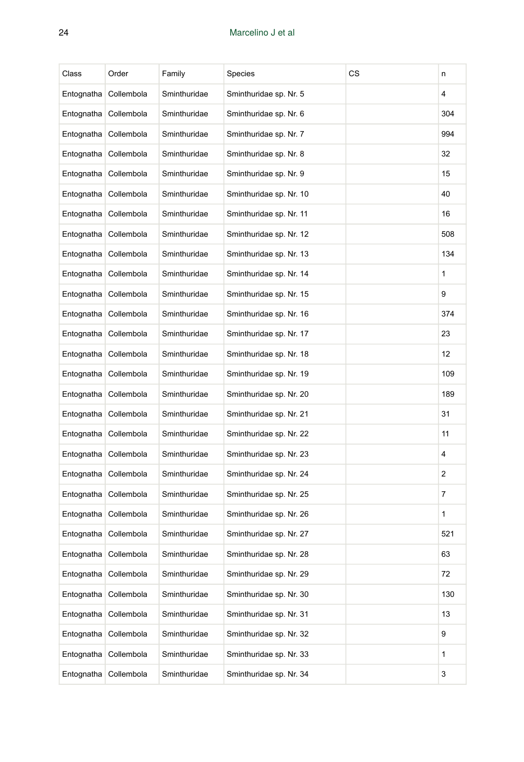| Class      | Order      | Family       | Species                 | CS | n              |
|------------|------------|--------------|-------------------------|----|----------------|
| Entognatha | Collembola | Sminthuridae | Sminthuridae sp. Nr. 5  |    | $\overline{4}$ |
| Entognatha | Collembola | Sminthuridae | Sminthuridae sp. Nr. 6  |    | 304            |
| Entognatha | Collembola | Sminthuridae | Sminthuridae sp. Nr. 7  |    | 994            |
| Entognatha | Collembola | Sminthuridae | Sminthuridae sp. Nr. 8  |    | 32             |
| Entognatha | Collembola | Sminthuridae | Sminthuridae sp. Nr. 9  |    | 15             |
| Entognatha | Collembola | Sminthuridae | Sminthuridae sp. Nr. 10 |    | 40             |
| Entognatha | Collembola | Sminthuridae | Sminthuridae sp. Nr. 11 |    | 16             |
| Entognatha | Collembola | Sminthuridae | Sminthuridae sp. Nr. 12 |    | 508            |
| Entognatha | Collembola | Sminthuridae | Sminthuridae sp. Nr. 13 |    | 134            |
| Entognatha | Collembola | Sminthuridae | Sminthuridae sp. Nr. 14 |    | 1              |
| Entognatha | Collembola | Sminthuridae | Sminthuridae sp. Nr. 15 |    | 9              |
| Entognatha | Collembola | Sminthuridae | Sminthuridae sp. Nr. 16 |    | 374            |
| Entognatha | Collembola | Sminthuridae | Sminthuridae sp. Nr. 17 |    | 23             |
| Entognatha | Collembola | Sminthuridae | Sminthuridae sp. Nr. 18 |    | 12             |
| Entognatha | Collembola | Sminthuridae | Sminthuridae sp. Nr. 19 |    | 109            |
| Entognatha | Collembola | Sminthuridae | Sminthuridae sp. Nr. 20 |    | 189            |
| Entognatha | Collembola | Sminthuridae | Sminthuridae sp. Nr. 21 |    | 31             |
| Entognatha | Collembola | Sminthuridae | Sminthuridae sp. Nr. 22 |    | 11             |
| Entognatha | Collembola | Sminthuridae | Sminthuridae sp. Nr. 23 |    | 4              |
| Entognatha | Collembola | Sminthuridae | Sminthuridae sp. Nr. 24 |    | 2              |
| Entognatha | Collembola | Sminthuridae | Sminthuridae sp. Nr. 25 |    | $\overline{7}$ |
| Entognatha | Collembola | Sminthuridae | Sminthuridae sp. Nr. 26 |    | 1              |
| Entognatha | Collembola | Sminthuridae | Sminthuridae sp. Nr. 27 |    | 521            |
| Entognatha | Collembola | Sminthuridae | Sminthuridae sp. Nr. 28 |    | 63             |
| Entognatha | Collembola | Sminthuridae | Sminthuridae sp. Nr. 29 |    | 72             |
| Entognatha | Collembola | Sminthuridae | Sminthuridae sp. Nr. 30 |    | 130            |
| Entognatha | Collembola | Sminthuridae | Sminthuridae sp. Nr. 31 |    | 13             |
| Entognatha | Collembola | Sminthuridae | Sminthuridae sp. Nr. 32 |    | 9              |
| Entognatha | Collembola | Sminthuridae | Sminthuridae sp. Nr. 33 |    | 1              |
| Entognatha | Collembola | Sminthuridae | Sminthuridae sp. Nr. 34 |    | 3              |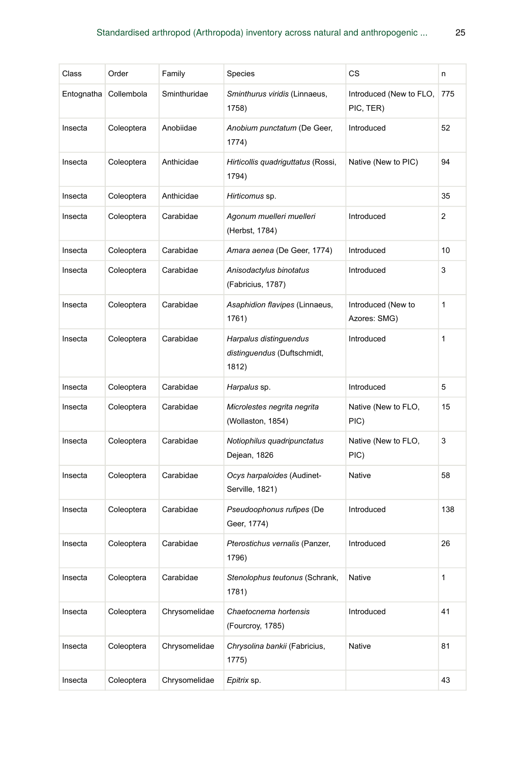| Class      | Order      | Family        | Species                                                        | СS                                   | n   |
|------------|------------|---------------|----------------------------------------------------------------|--------------------------------------|-----|
| Entognatha | Collembola | Sminthuridae  | Sminthurus viridis (Linnaeus,<br>1758)                         | Introduced (New to FLO,<br>PIC, TER) | 775 |
| Insecta    | Coleoptera | Anobiidae     | Anobium punctatum (De Geer,<br>1774)                           | Introduced                           | 52  |
| Insecta    | Coleoptera | Anthicidae    | Hirticollis quadriguttatus (Rossi,<br>1794)                    | Native (New to PIC)                  | 94  |
| Insecta    | Coleoptera | Anthicidae    | Hirticomus sp.                                                 |                                      | 35  |
| Insecta    | Coleoptera | Carabidae     | Agonum muelleri muelleri<br>(Herbst, 1784)                     | Introduced                           | 2   |
| Insecta    | Coleoptera | Carabidae     | Amara aenea (De Geer, 1774)                                    | Introduced                           | 10  |
| Insecta    | Coleoptera | Carabidae     | Anisodactylus binotatus<br>(Fabricius, 1787)                   | Introduced                           | 3   |
| Insecta    | Coleoptera | Carabidae     | Asaphidion flavipes (Linnaeus,<br>1761)                        | Introduced (New to<br>Azores: SMG)   | 1   |
| Insecta    | Coleoptera | Carabidae     | Harpalus distinguendus<br>distinguendus (Duftschmidt,<br>1812) | Introduced                           | 1   |
| Insecta    | Coleoptera | Carabidae     | Harpalus sp.                                                   | Introduced                           | 5   |
| Insecta    | Coleoptera | Carabidae     | Microlestes negrita negrita<br>(Wollaston, 1854)               | Native (New to FLO,<br>PIC)          | 15  |
| Insecta    | Coleoptera | Carabidae     | Notiophilus quadripunctatus<br>Dejean, 1826                    | Native (New to FLO,<br>PIC)          | 3   |
| Insecta    | Coleoptera | Carabidae     | Ocys harpaloides (Audinet-<br>Serville, 1821)                  | Native                               | 58  |
| Insecta    | Coleoptera | Carabidae     | Pseudoophonus rufipes (De<br>Geer, 1774)                       | Introduced                           | 138 |
| Insecta    | Coleoptera | Carabidae     | Pterostichus vernalis (Panzer,<br>1796)                        | Introduced                           | 26  |
| Insecta    | Coleoptera | Carabidae     | Stenolophus teutonus (Schrank,<br>1781)                        | Native                               | 1   |
| Insecta    | Coleoptera | Chrysomelidae | Chaetocnema hortensis<br>(Fourcroy, 1785)                      | Introduced                           | 41  |
| Insecta    | Coleoptera | Chrysomelidae | Chrysolina bankii (Fabricius,<br>1775)                         | Native                               | 81  |
| Insecta    | Coleoptera | Chrysomelidae | Epitrix sp.                                                    |                                      | 43  |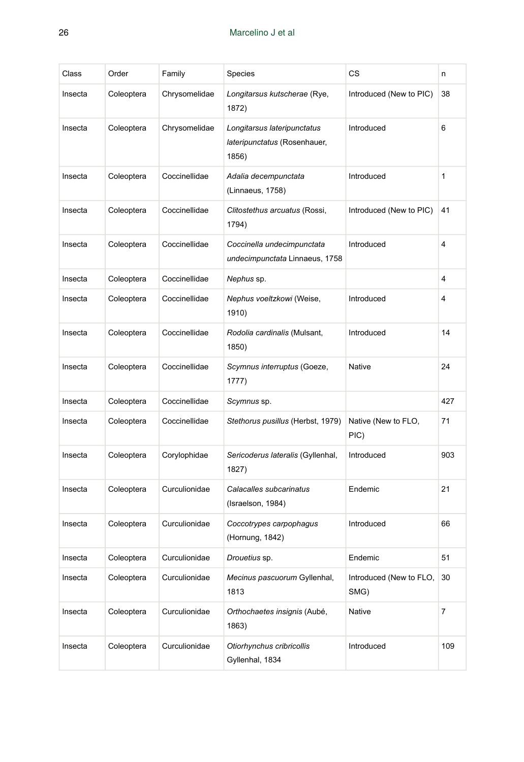| Class   | Order      | Family        | Species                                                              | CS                              | n              |
|---------|------------|---------------|----------------------------------------------------------------------|---------------------------------|----------------|
| Insecta | Coleoptera | Chrysomelidae | Longitarsus kutscherae (Rye,<br>1872)                                | Introduced (New to PIC)         | 38             |
| Insecta | Coleoptera | Chrysomelidae | Longitarsus lateripunctatus<br>lateripunctatus (Rosenhauer,<br>1856) | Introduced                      | 6              |
| Insecta | Coleoptera | Coccinellidae | Adalia decempunctata<br>(Linnaeus, 1758)                             | Introduced                      | 1              |
| Insecta | Coleoptera | Coccinellidae | Clitostethus arcuatus (Rossi,<br>1794)                               | Introduced (New to PIC)         | 41             |
| Insecta | Coleoptera | Coccinellidae | Coccinella undecimpunctata<br>undecimpunctata Linnaeus, 1758         | Introduced                      | $\overline{4}$ |
| Insecta | Coleoptera | Coccinellidae | Nephus sp.                                                           |                                 | 4              |
| Insecta | Coleoptera | Coccinellidae | Nephus voeltzkowi (Weise,<br>1910)                                   | Introduced                      | 4              |
| Insecta | Coleoptera | Coccinellidae | Rodolia cardinalis (Mulsant,<br>1850)                                | Introduced                      | 14             |
| Insecta | Coleoptera | Coccinellidae | Scymnus interruptus (Goeze,<br>1777)                                 | <b>Native</b>                   | 24             |
| Insecta | Coleoptera | Coccinellidae | Scymnus sp.                                                          |                                 | 427            |
| Insecta | Coleoptera | Coccinellidae | Stethorus pusillus (Herbst, 1979)                                    | Native (New to FLO,<br>PIC)     | 71             |
| Insecta | Coleoptera | Corylophidae  | Sericoderus lateralis (Gyllenhal,<br>1827)                           | Introduced                      | 903            |
| Insecta | Coleoptera | Curculionidae | Calacalles subcarinatus<br>(Israelson, 1984)                         | Endemic                         | 21             |
| Insecta | Coleoptera | Curculionidae | Coccotrypes carpophagus<br>(Hornung, 1842)                           | Introduced                      | 66             |
| Insecta | Coleoptera | Curculionidae | <i>Drouetius</i> sp.                                                 | Endemic                         | 51             |
| Insecta | Coleoptera | Curculionidae | Mecinus pascuorum Gyllenhal,<br>1813                                 | Introduced (New to FLO,<br>SMG) | 30             |
| Insecta | Coleoptera | Curculionidae | Orthochaetes insignis (Aubé,<br>1863)                                | Native                          | $\overline{7}$ |
| Insecta | Coleoptera | Curculionidae | Otiorhynchus cribricollis<br>Gyllenhal, 1834                         | Introduced                      | 109            |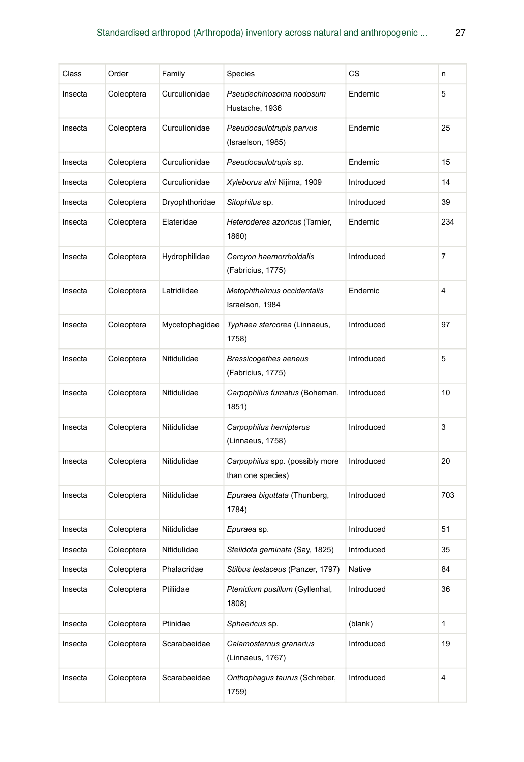| Class   | Order      | Family         | <b>Species</b>                                       | СS         | n   |
|---------|------------|----------------|------------------------------------------------------|------------|-----|
| Insecta | Coleoptera | Curculionidae  | Pseudechinosoma nodosum<br>Hustache, 1936            | Endemic    | 5   |
| Insecta | Coleoptera | Curculionidae  | Pseudocaulotrupis parvus<br>(Israelson, 1985)        | Endemic    | 25  |
| Insecta | Coleoptera | Curculionidae  | Pseudocaulotrupis sp.                                | Endemic    | 15  |
| Insecta | Coleoptera | Curculionidae  | Xyleborus alni Nijima, 1909                          | Introduced | 14  |
| Insecta | Coleoptera | Dryophthoridae | Sitophilus sp.                                       | Introduced | 39  |
| Insecta | Coleoptera | Elateridae     | Heteroderes azoricus (Tarnier,<br>1860)              | Endemic    | 234 |
| Insecta | Coleoptera | Hydrophilidae  | Cercyon haemorrhoidalis<br>(Fabricius, 1775)         | Introduced | 7   |
| Insecta | Coleoptera | Latridiidae    | Metophthalmus occidentalis<br>Israelson, 1984        | Endemic    | 4   |
| Insecta | Coleoptera | Mycetophagidae | Typhaea stercorea (Linnaeus,<br>1758)                | Introduced | 97  |
| Insecta | Coleoptera | Nitidulidae    | <b>Brassicogethes aeneus</b><br>(Fabricius, 1775)    | Introduced | 5   |
| Insecta | Coleoptera | Nitidulidae    | Carpophilus fumatus (Boheman,<br>1851)               | Introduced | 10  |
| Insecta | Coleoptera | Nitidulidae    | Carpophilus hemipterus<br>(Linnaeus, 1758)           | Introduced | 3   |
| Insecta | Coleoptera | Nitidulidae    | Carpophilus spp. (possibly more<br>than one species) | Introduced | 20  |
| Insecta | Coleoptera | Nitidulidae    | Epuraea biguttata (Thunberg,<br>1784)                | Introduced | 703 |
| Insecta | Coleoptera | Nitidulidae    | Epuraea sp.                                          | Introduced | 51  |
| Insecta | Coleoptera | Nitidulidae    | Stelidota geminata (Say, 1825)                       | Introduced | 35  |
| Insecta | Coleoptera | Phalacridae    | Stilbus testaceus (Panzer, 1797)                     | Native     | 84  |
| Insecta | Coleoptera | Ptiliidae      | Ptenidium pusillum (Gyllenhal,<br>1808)              | Introduced | 36  |
| Insecta | Coleoptera | Ptinidae       | Sphaericus sp.                                       | (blank)    | 1   |
| Insecta | Coleoptera | Scarabaeidae   | Calamosternus granarius<br>(Linnaeus, 1767)          | Introduced | 19  |
| Insecta | Coleoptera | Scarabaeidae   | Onthophagus taurus (Schreber,<br>1759)               | Introduced | 4   |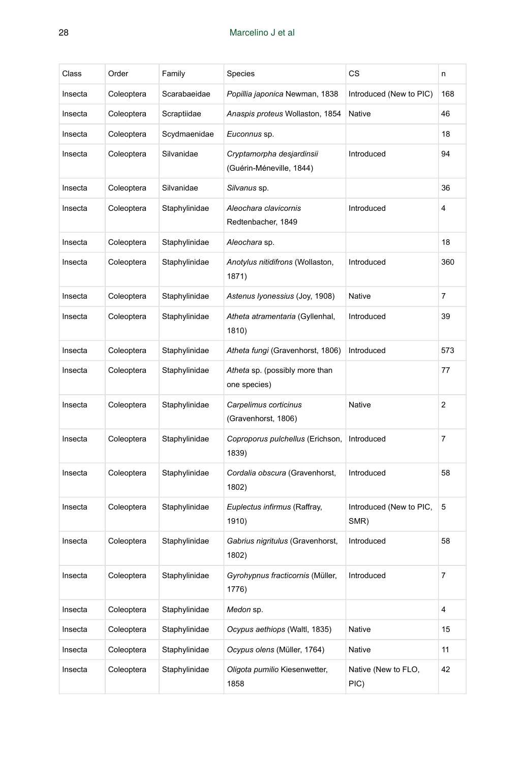| Class   | Order      | Family        | <b>Species</b>                                        | CS                              | n              |
|---------|------------|---------------|-------------------------------------------------------|---------------------------------|----------------|
| Insecta | Coleoptera | Scarabaeidae  | Popillia japonica Newman, 1838                        | Introduced (New to PIC)         | 168            |
| Insecta | Coleoptera | Scraptiidae   | Anaspis proteus Wollaston, 1854                       | Native                          | 46             |
| Insecta | Coleoptera | Scydmaenidae  | Euconnus sp.                                          |                                 | 18             |
| Insecta | Coleoptera | Silvanidae    | Cryptamorpha desjardinsii<br>(Guérin-Méneville, 1844) | Introduced                      | 94             |
| Insecta | Coleoptera | Silvanidae    | Silvanus sp.                                          |                                 | 36             |
| Insecta | Coleoptera | Staphylinidae | Aleochara clavicornis<br>Redtenbacher, 1849           | Introduced                      | 4              |
| Insecta | Coleoptera | Staphylinidae | Aleochara sp.                                         |                                 | 18             |
| Insecta | Coleoptera | Staphylinidae | Anotylus nitidifrons (Wollaston,<br>1871)             | Introduced                      | 360            |
| Insecta | Coleoptera | Staphylinidae | Astenus Iyonessius (Joy, 1908)                        | <b>Native</b>                   | $\overline{7}$ |
| Insecta | Coleoptera | Staphylinidae | Atheta atramentaria (Gyllenhal,<br>1810)              | Introduced                      | 39             |
| Insecta | Coleoptera | Staphylinidae | Atheta fungi (Gravenhorst, 1806)                      | Introduced                      | 573            |
| Insecta | Coleoptera | Staphylinidae | Atheta sp. (possibly more than<br>one species)        |                                 | 77             |
| Insecta | Coleoptera | Staphylinidae | Carpelimus corticinus<br>(Gravenhorst, 1806)          | <b>Native</b>                   | 2              |
| Insecta | Coleoptera | Staphylinidae | Coproporus pulchellus (Erichson,<br>1839)             | Introduced                      | $\overline{7}$ |
| Insecta | Coleoptera | Staphylinidae | Cordalia obscura (Gravenhorst,<br>1802)               | Introduced                      | 58             |
| Insecta | Coleoptera | Staphylinidae | Euplectus infirmus (Raffray,<br>1910)                 | Introduced (New to PIC,<br>SMR) | 5              |
| Insecta | Coleoptera | Staphylinidae | Gabrius nigritulus (Gravenhorst,<br>1802)             | Introduced                      | 58             |
| Insecta | Coleoptera | Staphylinidae | Gyrohypnus fracticornis (Müller,<br>1776)             | Introduced                      | 7              |
| Insecta | Coleoptera | Staphylinidae | Medon sp.                                             |                                 | 4              |
| Insecta | Coleoptera | Staphylinidae | Ocypus aethiops (Waltl, 1835)                         | Native                          | 15             |
| Insecta | Coleoptera | Staphylinidae | Ocypus olens (Müller, 1764)                           | Native                          | 11             |
| Insecta | Coleoptera | Staphylinidae | Oligota pumilio Kiesenwetter,<br>1858                 | Native (New to FLO,<br>PIC)     | 42             |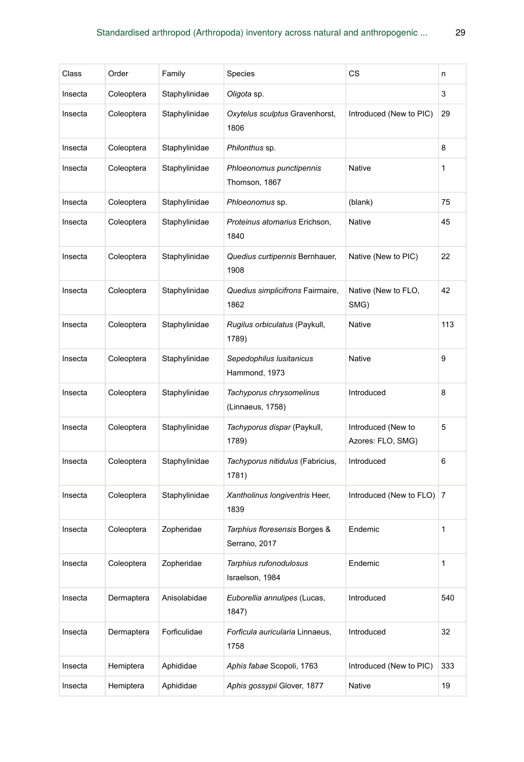| Class   | Order      | Family        | Species                                        | СS                                      | n   |
|---------|------------|---------------|------------------------------------------------|-----------------------------------------|-----|
| Insecta | Coleoptera | Staphylinidae | Oligota sp.                                    |                                         | 3   |
| Insecta | Coleoptera | Staphylinidae | Oxytelus sculptus Gravenhorst,<br>1806         | Introduced (New to PIC)                 | 29  |
| Insecta | Coleoptera | Staphylinidae | Philonthus sp.                                 |                                         | 8   |
| Insecta | Coleoptera | Staphylinidae | Phloeonomus punctipennis<br>Thomson, 1867      | Native                                  | 1   |
| Insecta | Coleoptera | Staphylinidae | Phloeonomus sp.                                | (blank)                                 | 75  |
| Insecta | Coleoptera | Staphylinidae | Proteinus atomarius Erichson,<br>1840          | Native                                  | 45  |
| Insecta | Coleoptera | Staphylinidae | Quedius curtipennis Bernhauer,<br>1908         | Native (New to PIC)                     | 22  |
| Insecta | Coleoptera | Staphylinidae | Quedius simplicifrons Fairmaire,<br>1862       | Native (New to FLO,<br>SMG)             | 42  |
| Insecta | Coleoptera | Staphylinidae | Rugilus orbiculatus (Paykull,<br>1789)         | <b>Native</b>                           | 113 |
| Insecta | Coleoptera | Staphylinidae | Sepedophilus Iusitanicus<br>Hammond, 1973      | Native                                  | 9   |
| Insecta | Coleoptera | Staphylinidae | Tachyporus chrysomelinus<br>(Linnaeus, 1758)   | Introduced                              | 8   |
| Insecta | Coleoptera | Staphylinidae | Tachyporus dispar (Paykull,<br>1789)           | Introduced (New to<br>Azores: FLO, SMG) | 5   |
| Insecta | Coleoptera | Staphylinidae | Tachyporus nitidulus (Fabricius,<br>1781)      | Introduced                              | 6   |
| Insecta | Coleoptera | Staphylinidae | Xantholinus longiventris Heer,<br>1839         | Introduced (New to FLO) 7               |     |
| Insecta | Coleoptera | Zopheridae    | Tarphius floresensis Borges &<br>Serrano, 2017 | Endemic                                 | 1   |
| Insecta | Coleoptera | Zopheridae    | Tarphius rufonodulosus<br>Israelson, 1984      | Endemic                                 | 1   |
| Insecta | Dermaptera | Anisolabidae  | Euborellia annulipes (Lucas,<br>1847)          | Introduced                              | 540 |
| Insecta | Dermaptera | Forficulidae  | Forficula auricularia Linnaeus,<br>1758        | Introduced                              | 32  |
| Insecta | Hemiptera  | Aphididae     | Aphis fabae Scopoli, 1763                      | Introduced (New to PIC)                 | 333 |
| Insecta | Hemiptera  | Aphididae     | Aphis gossypii Glover, 1877                    | Native                                  | 19  |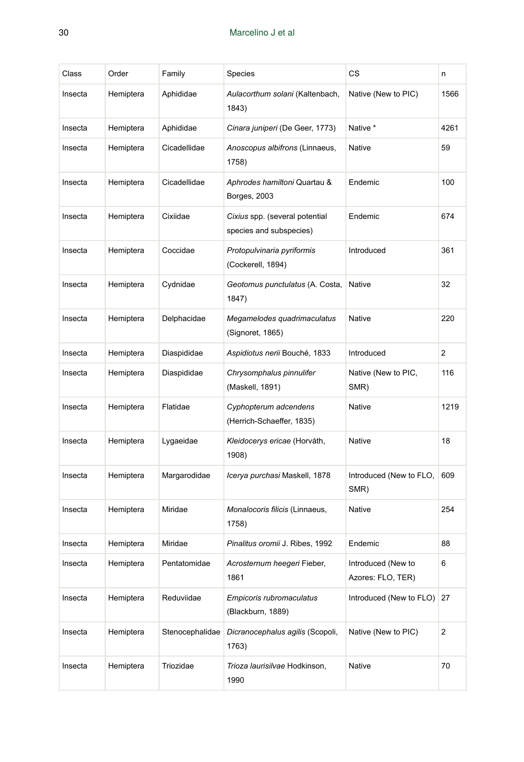| Class   | Order     | Family          | Species                                                   | CS                                      | n              |
|---------|-----------|-----------------|-----------------------------------------------------------|-----------------------------------------|----------------|
| Insecta | Hemiptera | Aphididae       | Aulacorthum solani (Kaltenbach,<br>1843)                  | Native (New to PIC)                     | 1566           |
| Insecta | Hemiptera | Aphididae       | Cinara juniperi (De Geer, 1773)                           | Native *                                | 4261           |
| Insecta | Hemiptera | Cicadellidae    | Anoscopus albifrons (Linnaeus,<br>1758)                   | <b>Native</b>                           | 59             |
| Insecta | Hemiptera | Cicadellidae    | Aphrodes hamiltoni Quartau &<br>Borges, 2003              | Endemic                                 | 100            |
| Insecta | Hemiptera | Cixiidae        | Cixius spp. (several potential<br>species and subspecies) | Endemic                                 | 674            |
| Insecta | Hemiptera | Coccidae        | Protopulvinaria pyriformis<br>(Cockerell, 1894)           | Introduced                              | 361            |
| Insecta | Hemiptera | Cydnidae        | Geotomus punctulatus (A. Costa,<br>1847)                  | <b>Native</b>                           | 32             |
| Insecta | Hemiptera | Delphacidae     | Megamelodes quadrimaculatus<br>(Signoret, 1865)           | Native                                  | 220            |
| Insecta | Hemiptera | Diaspididae     | Aspidiotus nerii Bouché, 1833                             | Introduced                              | 2              |
| Insecta | Hemiptera | Diaspididae     | Chrysomphalus pinnulifer<br>(Maskell, 1891)               | Native (New to PIC,<br>SMR)             | 116            |
| Insecta | Hemiptera | Flatidae        | Cyphopterum adcendens<br>(Herrich-Schaeffer, 1835)        | <b>Native</b>                           | 1219           |
| Insecta | Hemiptera | Lygaeidae       | Kleidocerys ericae (Horváth,<br>1908)                     | Native                                  | 18             |
| Insecta | Hemiptera | Margarodidae    | Icerya purchasi Maskell, 1878                             | Introduced (New to FLO,<br>SMR)         | 609            |
| Insecta | Hemiptera | Miridae         | Monalocoris filicis (Linnaeus,<br>1758)                   | <b>Native</b>                           | 254            |
| Insecta | Hemiptera | Miridae         | Pinalitus oromii J. Ribes, 1992                           | Endemic                                 | 88             |
| Insecta | Hemiptera | Pentatomidae    | Acrosternum heegeri Fieber,<br>1861                       | Introduced (New to<br>Azores: FLO, TER) | 6              |
| Insecta | Hemiptera | Reduviidae      | Empicoris rubromaculatus<br>(Blackburn, 1889)             | Introduced (New to FLO)                 | 27             |
| Insecta | Hemiptera | Stenocephalidae | Dicranocephalus agilis (Scopoli,<br>1763)                 | Native (New to PIC)                     | $\overline{c}$ |
| Insecta | Hemiptera | Triozidae       | Trioza laurisilvae Hodkinson,<br>1990                     | <b>Native</b>                           | 70             |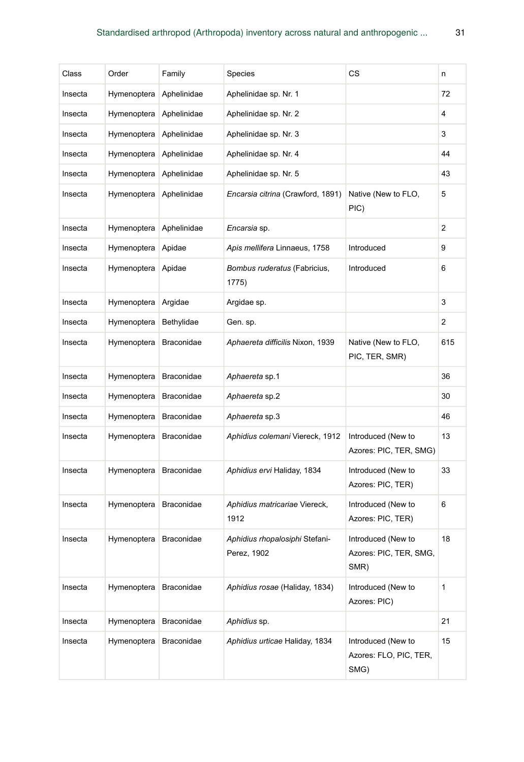| Class   | Order       | Family            | Species                                       | CS                                                   | n   |
|---------|-------------|-------------------|-----------------------------------------------|------------------------------------------------------|-----|
| Insecta | Hymenoptera | Aphelinidae       | Aphelinidae sp. Nr. 1                         |                                                      | 72  |
| Insecta | Hymenoptera | Aphelinidae       | Aphelinidae sp. Nr. 2                         |                                                      | 4   |
| Insecta | Hymenoptera | Aphelinidae       | Aphelinidae sp. Nr. 3                         |                                                      | 3   |
| Insecta | Hymenoptera | Aphelinidae       | Aphelinidae sp. Nr. 4                         |                                                      | 44  |
| Insecta | Hymenoptera | Aphelinidae       | Aphelinidae sp. Nr. 5                         |                                                      | 43  |
| Insecta | Hymenoptera | Aphelinidae       | Encarsia citrina (Crawford, 1891)             | Native (New to FLO,<br>PIC)                          | 5   |
| Insecta | Hymenoptera | Aphelinidae       | Encarsia sp.                                  |                                                      | 2   |
| Insecta | Hymenoptera | Apidae            | Apis mellifera Linnaeus, 1758                 | Introduced                                           | 9   |
| Insecta | Hymenoptera | Apidae            | Bombus ruderatus (Fabricius,<br>1775)         | Introduced                                           | 6   |
| Insecta | Hymenoptera | Argidae           | Argidae sp.                                   |                                                      | 3   |
| Insecta | Hymenoptera | Bethylidae        | Gen. sp.                                      |                                                      | 2   |
| Insecta | Hymenoptera | <b>Braconidae</b> | Aphaereta difficilis Nixon, 1939              | Native (New to FLO,<br>PIC, TER, SMR)                | 615 |
| Insecta | Hymenoptera | <b>Braconidae</b> | Aphaereta sp.1                                |                                                      | 36  |
| Insecta | Hymenoptera | Braconidae        | Aphaereta sp.2                                |                                                      | 30  |
| Insecta | Hymenoptera | Braconidae        | Aphaereta sp.3                                |                                                      | 46  |
| Insecta | Hymenoptera | <b>Braconidae</b> | Aphidius colemani Viereck, 1912               | Introduced (New to<br>Azores: PIC, TER, SMG)         | 13  |
| Insecta | Hymenoptera | <b>Braconidae</b> | Aphidius ervi Haliday, 1834                   | Introduced (New to<br>Azores: PIC, TER)              | 33  |
| Insecta | Hymenoptera | <b>Braconidae</b> | Aphidius matricariae Viereck,<br>1912         | Introduced (New to<br>Azores: PIC, TER)              | 6   |
| Insecta | Hymenoptera | <b>Braconidae</b> | Aphidius rhopalosiphi Stefani-<br>Perez, 1902 | Introduced (New to<br>Azores: PIC, TER, SMG,<br>SMR) | 18  |
| Insecta | Hymenoptera | Braconidae        | Aphidius rosae (Haliday, 1834)                | Introduced (New to<br>Azores: PIC)                   | 1   |
| Insecta | Hymenoptera | Braconidae        | Aphidius sp.                                  |                                                      | 21  |
| Insecta | Hymenoptera | Braconidae        | Aphidius urticae Haliday, 1834                | Introduced (New to<br>Azores: FLO, PIC, TER,<br>SMG) | 15  |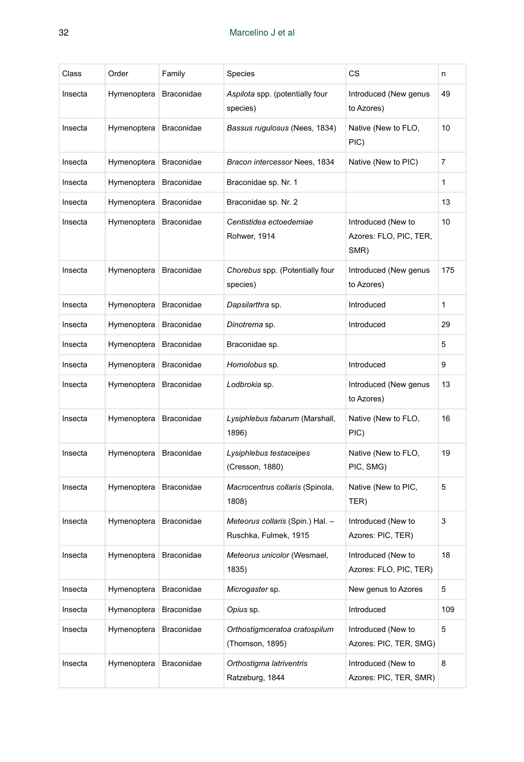| Class   | Order       | Family            | Species                                                   | CS                                                   | n              |
|---------|-------------|-------------------|-----------------------------------------------------------|------------------------------------------------------|----------------|
| Insecta | Hymenoptera | <b>Braconidae</b> | Aspilota spp. (potentially four<br>species)               | Introduced (New genus<br>to Azores)                  | 49             |
| Insecta | Hymenoptera | <b>Braconidae</b> | Bassus rugulosus (Nees, 1834)                             | Native (New to FLO,<br>PIC)                          | 10             |
| Insecta | Hymenoptera | <b>Braconidae</b> | Bracon intercessor Nees, 1834                             | Native (New to PIC)                                  | $\overline{7}$ |
| Insecta | Hymenoptera | Braconidae        | Braconidae sp. Nr. 1                                      |                                                      | 1              |
| Insecta | Hymenoptera | Braconidae        | Braconidae sp. Nr. 2                                      |                                                      | 13             |
| Insecta | Hymenoptera | Braconidae        | Centistidea ectoedemiae<br>Rohwer, 1914                   | Introduced (New to<br>Azores: FLO, PIC, TER,<br>SMR) | 10             |
| Insecta | Hymenoptera | Braconidae        | Chorebus spp. (Potentially four<br>species)               | Introduced (New genus<br>to Azores)                  | 175            |
| Insecta | Hymenoptera | Braconidae        | Dapsilarthra sp.                                          | Introduced                                           | 1              |
| Insecta | Hymenoptera | <b>Braconidae</b> | Dinotrema sp.                                             | Introduced                                           | 29             |
| Insecta | Hymenoptera | <b>Braconidae</b> | Braconidae sp.                                            |                                                      | 5              |
| Insecta | Hymenoptera | <b>Braconidae</b> | Homolobus sp.                                             | Introduced                                           | 9              |
| Insecta | Hymenoptera | <b>Braconidae</b> | Lodbrokia sp.                                             | Introduced (New genus<br>to Azores)                  | 13             |
| Insecta | Hymenoptera | Braconidae        | Lysiphlebus fabarum (Marshall,<br>1896)                   | Native (New to FLO,<br>PIC)                          | 16             |
| Insecta | Hymenoptera | <b>Braconidae</b> | Lysiphlebus testaceipes<br>(Cresson, 1880)                | Native (New to FLO,<br>PIC, SMG)                     | 19             |
| Insecta | Hymenoptera | <b>Braconidae</b> | Macrocentrus collaris (Spinola,<br>1808)                  | Native (New to PIC,<br>TER)                          | 5              |
| Insecta | Hymenoptera | Braconidae        | Meteorus collaris (Spin.) Hal. -<br>Ruschka, Fulmek, 1915 | Introduced (New to<br>Azores: PIC, TER)              | 3              |
| Insecta | Hymenoptera | Braconidae        | Meteorus unicolor (Wesmael,<br>1835)                      | Introduced (New to<br>Azores: FLO, PIC, TER)         | 18             |
| Insecta | Hymenoptera | Braconidae        | Microgaster sp.                                           | New genus to Azores                                  | 5              |
| Insecta | Hymenoptera | Braconidae        | Opius sp.                                                 | Introduced                                           | 109            |
| Insecta | Hymenoptera | Braconidae        | Orthostigmceratoa cratospilum<br>(Thomson, 1895)          | Introduced (New to<br>Azores: PIC, TER, SMG)         | 5              |
| Insecta | Hymenoptera | Braconidae        | Orthostigma latriventris<br>Ratzeburg, 1844               | Introduced (New to<br>Azores: PIC, TER, SMR)         | 8              |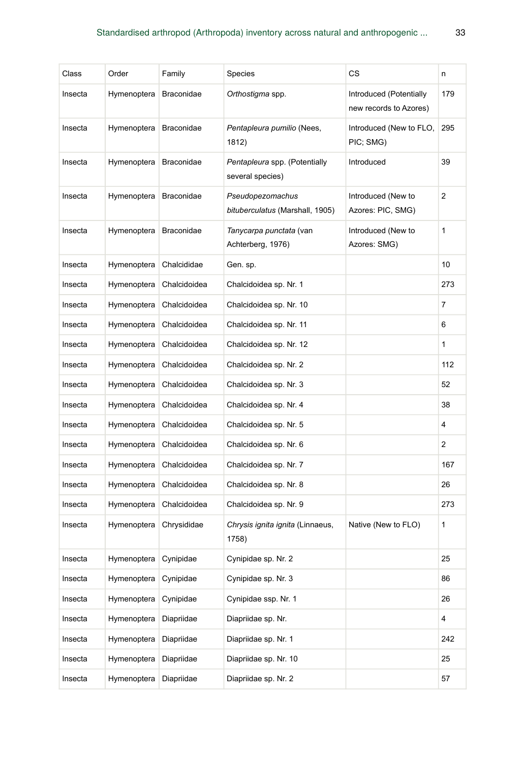| Class   | Order       | Family            | Species                                             | СS                                                | n   |
|---------|-------------|-------------------|-----------------------------------------------------|---------------------------------------------------|-----|
| Insecta | Hymenoptera | <b>Braconidae</b> | Orthostigma spp.                                    | Introduced (Potentially<br>new records to Azores) | 179 |
| Insecta | Hymenoptera | Braconidae        | Pentapleura pumilio (Nees,<br>1812)                 | Introduced (New to FLO,<br>PIC; SMG)              | 295 |
| Insecta | Hymenoptera | <b>Braconidae</b> | Pentapleura spp. (Potentially<br>several species)   | Introduced                                        | 39  |
| Insecta | Hymenoptera | <b>Braconidae</b> | Pseudopezomachus<br>bituberculatus (Marshall, 1905) | Introduced (New to<br>Azores: PIC, SMG)           | 2   |
| Insecta | Hymenoptera | <b>Braconidae</b> | Tanycarpa punctata (van<br>Achterberg, 1976)        | Introduced (New to<br>Azores: SMG)                | 1   |
| Insecta | Hymenoptera | Chalcididae       | Gen. sp.                                            |                                                   | 10  |
| Insecta | Hymenoptera | Chalcidoidea      | Chalcidoidea sp. Nr. 1                              |                                                   | 273 |
| Insecta | Hymenoptera | Chalcidoidea      | Chalcidoidea sp. Nr. 10                             |                                                   | 7   |
| Insecta | Hymenoptera | Chalcidoidea      | Chalcidoidea sp. Nr. 11                             |                                                   | 6   |
| Insecta | Hymenoptera | Chalcidoidea      | Chalcidoidea sp. Nr. 12                             |                                                   | 1   |
| Insecta | Hymenoptera | Chalcidoidea      | Chalcidoidea sp. Nr. 2                              |                                                   | 112 |
| Insecta | Hymenoptera | Chalcidoidea      | Chalcidoidea sp. Nr. 3                              |                                                   | 52  |
| Insecta | Hymenoptera | Chalcidoidea      | Chalcidoidea sp. Nr. 4                              |                                                   | 38  |
| Insecta | Hymenoptera | Chalcidoidea      | Chalcidoidea sp. Nr. 5                              |                                                   | 4   |
| Insecta | Hymenoptera | Chalcidoidea      | Chalcidoidea sp. Nr. 6                              |                                                   | 2   |
| Insecta | Hymenoptera | Chalcidoidea      | Chalcidoidea sp. Nr. 7                              |                                                   | 167 |
| Insecta | Hymenoptera | Chalcidoidea      | Chalcidoidea sp. Nr. 8                              |                                                   | 26  |
| Insecta | Hymenoptera | Chalcidoidea      | Chalcidoidea sp. Nr. 9                              |                                                   | 273 |
| Insecta | Hymenoptera | Chrysididae       | Chrysis ignita ignita (Linnaeus,<br>1758)           | Native (New to FLO)                               | 1   |
| Insecta | Hymenoptera | Cynipidae         | Cynipidae sp. Nr. 2                                 |                                                   | 25  |
| Insecta | Hymenoptera | Cynipidae         | Cynipidae sp. Nr. 3                                 |                                                   | 86  |
| Insecta | Hymenoptera | Cynipidae         | Cynipidae ssp. Nr. 1                                |                                                   | 26  |
| Insecta | Hymenoptera | Diapriidae        | Diapriidae sp. Nr.                                  |                                                   | 4   |
| Insecta | Hymenoptera | Diapriidae        | Diapriidae sp. Nr. 1                                |                                                   | 242 |
| Insecta | Hymenoptera | Diapriidae        | Diapriidae sp. Nr. 10                               |                                                   | 25  |
| Insecta | Hymenoptera | Diapriidae        | Diapriidae sp. Nr. 2                                |                                                   | 57  |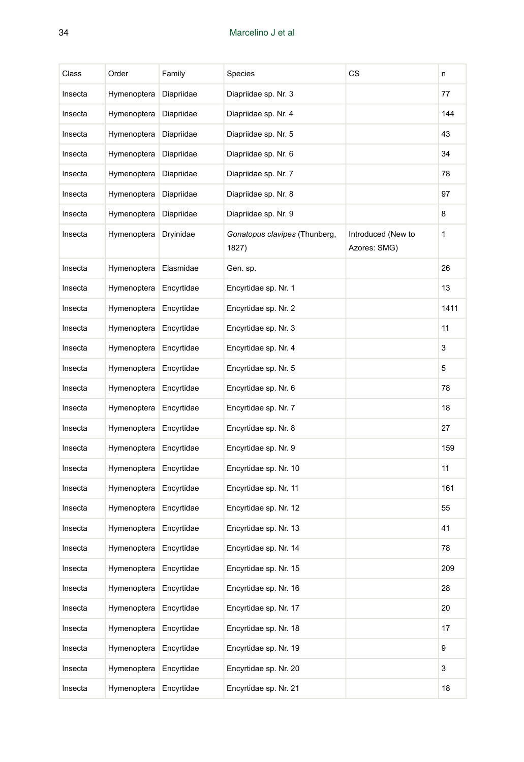| Class   | Order       | Family     | Species                                | CS                                 | n    |
|---------|-------------|------------|----------------------------------------|------------------------------------|------|
| Insecta | Hymenoptera | Diapriidae | Diapriidae sp. Nr. 3                   |                                    | 77   |
| Insecta | Hymenoptera | Diapriidae | Diapriidae sp. Nr. 4                   |                                    | 144  |
| Insecta | Hymenoptera | Diapriidae | Diapriidae sp. Nr. 5                   |                                    | 43   |
| Insecta | Hymenoptera | Diapriidae | Diapriidae sp. Nr. 6                   |                                    | 34   |
| Insecta | Hymenoptera | Diapriidae | Diapriidae sp. Nr. 7                   |                                    | 78   |
| Insecta | Hymenoptera | Diapriidae | Diapriidae sp. Nr. 8                   |                                    | 97   |
| Insecta | Hymenoptera | Diapriidae | Diapriidae sp. Nr. 9                   |                                    | 8    |
| Insecta | Hymenoptera | Dryinidae  | Gonatopus clavipes (Thunberg,<br>1827) | Introduced (New to<br>Azores: SMG) | 1    |
| Insecta | Hymenoptera | Elasmidae  | Gen. sp.                               |                                    | 26   |
| Insecta | Hymenoptera | Encyrtidae | Encyrtidae sp. Nr. 1                   |                                    | 13   |
| Insecta | Hymenoptera | Encyrtidae | Encyrtidae sp. Nr. 2                   |                                    | 1411 |
| Insecta | Hymenoptera | Encyrtidae | Encyrtidae sp. Nr. 3                   |                                    | 11   |
| Insecta | Hymenoptera | Encyrtidae | Encyrtidae sp. Nr. 4                   |                                    | 3    |
| Insecta | Hymenoptera | Encyrtidae | Encyrtidae sp. Nr. 5                   |                                    | 5    |
| Insecta | Hymenoptera | Encyrtidae | Encyrtidae sp. Nr. 6                   |                                    | 78   |
| Insecta | Hymenoptera | Encyrtidae | Encyrtidae sp. Nr. 7                   |                                    | 18   |
| Insecta | Hymenoptera | Encyrtidae | Encyrtidae sp. Nr. 8                   |                                    | 27   |
| Insecta | Hymenoptera | Encyrtidae | Encyrtidae sp. Nr. 9                   |                                    | 159  |
| Insecta | Hymenoptera | Encyrtidae | Encyrtidae sp. Nr. 10                  |                                    | 11   |
| Insecta | Hymenoptera | Encyrtidae | Encyrtidae sp. Nr. 11                  |                                    | 161  |
| Insecta | Hymenoptera | Encyrtidae | Encyrtidae sp. Nr. 12                  |                                    | 55   |
| Insecta | Hymenoptera | Encyrtidae | Encyrtidae sp. Nr. 13                  |                                    | 41   |
| Insecta | Hymenoptera | Encyrtidae | Encyrtidae sp. Nr. 14                  |                                    | 78   |
| Insecta | Hymenoptera | Encyrtidae | Encyrtidae sp. Nr. 15                  |                                    | 209  |
| Insecta | Hymenoptera | Encyrtidae | Encyrtidae sp. Nr. 16                  |                                    | 28   |
| Insecta | Hymenoptera | Encyrtidae | Encyrtidae sp. Nr. 17                  |                                    | 20   |
| Insecta | Hymenoptera | Encyrtidae | Encyrtidae sp. Nr. 18                  |                                    | 17   |
| Insecta | Hymenoptera | Encyrtidae | Encyrtidae sp. Nr. 19                  |                                    | 9    |
| Insecta | Hymenoptera | Encyrtidae | Encyrtidae sp. Nr. 20                  |                                    | 3    |
| Insecta | Hymenoptera | Encyrtidae | Encyrtidae sp. Nr. 21                  |                                    | 18   |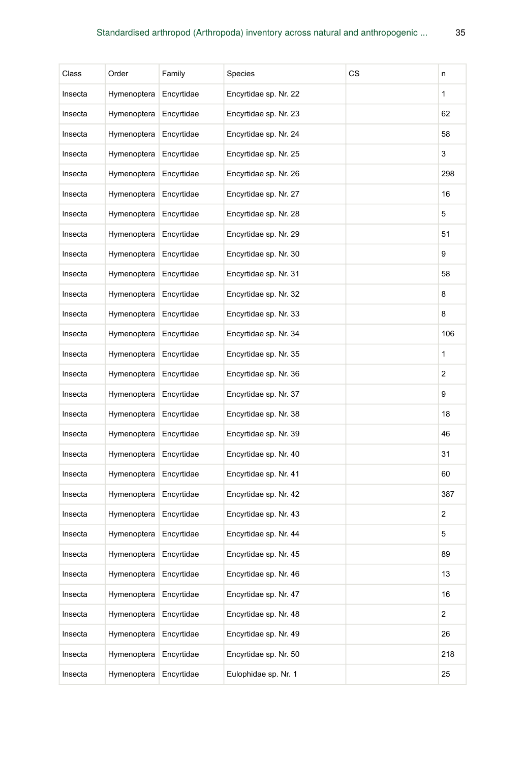| Class   | Order       | Family     | Species               | CS | n              |
|---------|-------------|------------|-----------------------|----|----------------|
| Insecta | Hymenoptera | Encyrtidae | Encyrtidae sp. Nr. 22 |    | 1              |
| Insecta | Hymenoptera | Encyrtidae | Encyrtidae sp. Nr. 23 |    | 62             |
| Insecta | Hymenoptera | Encyrtidae | Encyrtidae sp. Nr. 24 |    | 58             |
| Insecta | Hymenoptera | Encyrtidae | Encyrtidae sp. Nr. 25 |    | 3              |
| Insecta | Hymenoptera | Encyrtidae | Encyrtidae sp. Nr. 26 |    | 298            |
| Insecta | Hymenoptera | Encyrtidae | Encyrtidae sp. Nr. 27 |    | 16             |
| Insecta | Hymenoptera | Encyrtidae | Encyrtidae sp. Nr. 28 |    | 5              |
| Insecta | Hymenoptera | Encyrtidae | Encyrtidae sp. Nr. 29 |    | 51             |
| Insecta | Hymenoptera | Encyrtidae | Encyrtidae sp. Nr. 30 |    | 9              |
| Insecta | Hymenoptera | Encyrtidae | Encyrtidae sp. Nr. 31 |    | 58             |
| Insecta | Hymenoptera | Encyrtidae | Encyrtidae sp. Nr. 32 |    | 8              |
| Insecta | Hymenoptera | Encyrtidae | Encyrtidae sp. Nr. 33 |    | 8              |
| Insecta | Hymenoptera | Encyrtidae | Encyrtidae sp. Nr. 34 |    | 106            |
| Insecta | Hymenoptera | Encyrtidae | Encyrtidae sp. Nr. 35 |    | 1              |
| Insecta | Hymenoptera | Encyrtidae | Encyrtidae sp. Nr. 36 |    | 2              |
| Insecta | Hymenoptera | Encyrtidae | Encyrtidae sp. Nr. 37 |    | 9              |
| Insecta | Hymenoptera | Encyrtidae | Encyrtidae sp. Nr. 38 |    | 18             |
| Insecta | Hymenoptera | Encyrtidae | Encyrtidae sp. Nr. 39 |    | 46             |
| Insecta | Hymenoptera | Encyrtidae | Encyrtidae sp. Nr. 40 |    | 31             |
| Insecta | Hymenoptera | Encyrtidae | Encyrtidae sp. Nr. 41 |    | 60             |
| Insecta | Hymenoptera | Encyrtidae | Encyrtidae sp. Nr. 42 |    | 387            |
| Insecta | Hymenoptera | Encyrtidae | Encyrtidae sp. Nr. 43 |    | 2              |
| Insecta | Hymenoptera | Encyrtidae | Encyrtidae sp. Nr. 44 |    | 5              |
| Insecta | Hymenoptera | Encyrtidae | Encyrtidae sp. Nr. 45 |    | 89             |
| Insecta | Hymenoptera | Encyrtidae | Encyrtidae sp. Nr. 46 |    | 13             |
| Insecta | Hymenoptera | Encyrtidae | Encyrtidae sp. Nr. 47 |    | 16             |
| Insecta | Hymenoptera | Encyrtidae | Encyrtidae sp. Nr. 48 |    | $\overline{a}$ |
| Insecta | Hymenoptera | Encyrtidae | Encyrtidae sp. Nr. 49 |    | 26             |
| Insecta | Hymenoptera | Encyrtidae | Encyrtidae sp. Nr. 50 |    | 218            |
| Insecta | Hymenoptera | Encyrtidae | Eulophidae sp. Nr. 1  |    | 25             |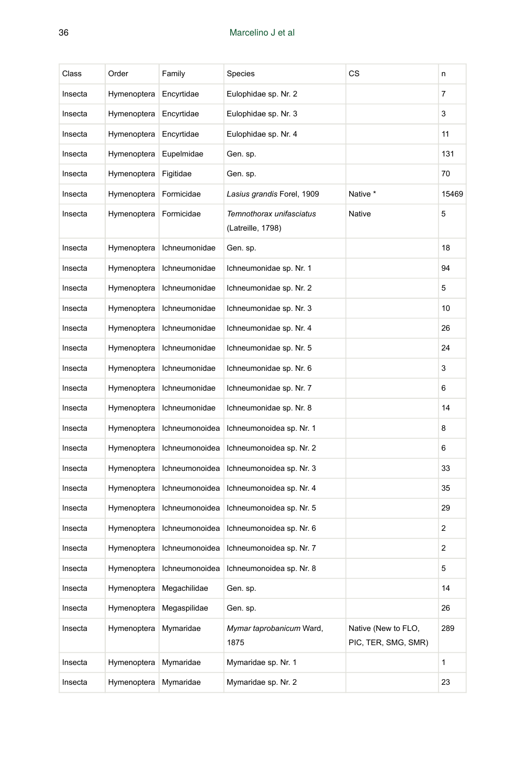| Class   | Order       | Family         | Species                                       | CS                                         | n              |
|---------|-------------|----------------|-----------------------------------------------|--------------------------------------------|----------------|
| Insecta | Hymenoptera | Encyrtidae     | Eulophidae sp. Nr. 2                          |                                            | $\overline{7}$ |
| Insecta | Hymenoptera | Encyrtidae     | Eulophidae sp. Nr. 3                          |                                            | 3              |
| Insecta | Hymenoptera | Encyrtidae     | Eulophidae sp. Nr. 4                          |                                            | 11             |
| Insecta | Hymenoptera | Eupelmidae     | Gen. sp.                                      |                                            | 131            |
| Insecta | Hymenoptera | Figitidae      | Gen. sp.                                      |                                            | 70             |
| Insecta | Hymenoptera | Formicidae     | Lasius grandis Forel, 1909                    | Native *                                   | 15469          |
| Insecta | Hymenoptera | Formicidae     | Temnothorax unifasciatus<br>(Latreille, 1798) | <b>Native</b>                              | 5              |
| Insecta | Hymenoptera | Ichneumonidae  | Gen. sp.                                      |                                            | 18             |
| Insecta | Hymenoptera | Ichneumonidae  | Ichneumonidae sp. Nr. 1                       |                                            | 94             |
| Insecta | Hymenoptera | Ichneumonidae  | Ichneumonidae sp. Nr. 2                       |                                            | 5              |
| Insecta | Hymenoptera | Ichneumonidae  | Ichneumonidae sp. Nr. 3                       |                                            | 10             |
| Insecta | Hymenoptera | Ichneumonidae  | Ichneumonidae sp. Nr. 4                       |                                            | 26             |
| Insecta | Hymenoptera | Ichneumonidae  | Ichneumonidae sp. Nr. 5                       |                                            | 24             |
| Insecta | Hymenoptera | Ichneumonidae  | Ichneumonidae sp. Nr. 6                       |                                            | 3              |
| Insecta | Hymenoptera | Ichneumonidae  | Ichneumonidae sp. Nr. 7                       |                                            | 6              |
| Insecta | Hymenoptera | Ichneumonidae  | Ichneumonidae sp. Nr. 8                       |                                            | 14             |
| Insecta | Hymenoptera | Ichneumonoidea | Ichneumonoidea sp. Nr. 1                      |                                            | 8              |
| Insecta | Hymenoptera | Ichneumonoidea | Ichneumonoidea sp. Nr. 2                      |                                            | 6              |
| Insecta | Hymenoptera | Ichneumonoidea | Ichneumonoidea sp. Nr. 3                      |                                            | 33             |
| Insecta | Hymenoptera | Ichneumonoidea | Ichneumonoidea sp. Nr. 4                      |                                            | 35             |
| Insecta | Hymenoptera | Ichneumonoidea | Ichneumonoidea sp. Nr. 5                      |                                            | 29             |
| Insecta | Hymenoptera | Ichneumonoidea | Ichneumonoidea sp. Nr. 6                      |                                            | 2              |
| Insecta | Hymenoptera | Ichneumonoidea | Ichneumonoidea sp. Nr. 7                      |                                            | 2              |
| Insecta | Hymenoptera | Ichneumonoidea | Ichneumonoidea sp. Nr. 8                      |                                            | 5              |
| Insecta | Hymenoptera | Megachilidae   | Gen. sp.                                      |                                            | 14             |
| Insecta | Hymenoptera | Megaspilidae   | Gen. sp.                                      |                                            | 26             |
| Insecta | Hymenoptera | Mymaridae      | Mymar taprobanicum Ward,<br>1875              | Native (New to FLO,<br>PIC, TER, SMG, SMR) | 289            |
| Insecta | Hymenoptera | Mymaridae      | Mymaridae sp. Nr. 1                           |                                            | 1              |
| Insecta | Hymenoptera | Mymaridae      | Mymaridae sp. Nr. 2                           |                                            | 23             |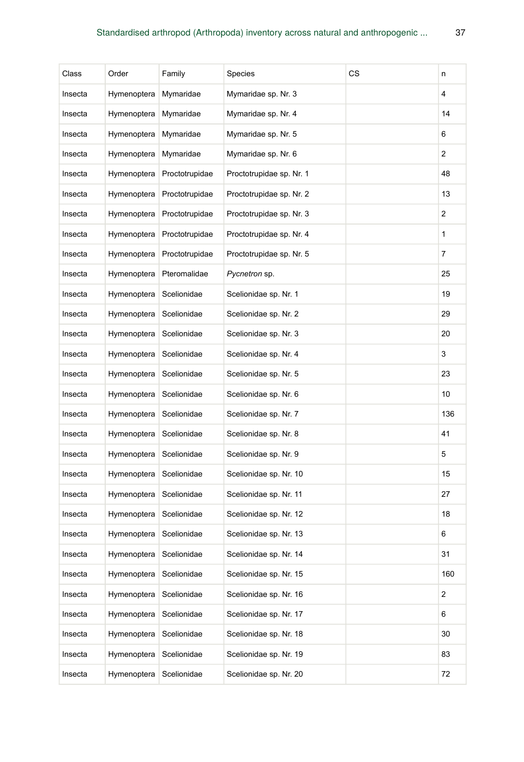| Class   | Order       | Family         | Species                  | CS | n   |
|---------|-------------|----------------|--------------------------|----|-----|
| Insecta | Hymenoptera | Mymaridae      | Mymaridae sp. Nr. 3      |    | 4   |
| Insecta | Hymenoptera | Mymaridae      | Mymaridae sp. Nr. 4      |    | 14  |
| Insecta | Hymenoptera | Mymaridae      | Mymaridae sp. Nr. 5      |    | 6   |
| Insecta | Hymenoptera | Mymaridae      | Mymaridae sp. Nr. 6      |    | 2   |
| Insecta | Hymenoptera | Proctotrupidae | Proctotrupidae sp. Nr. 1 |    | 48  |
| Insecta | Hymenoptera | Proctotrupidae | Proctotrupidae sp. Nr. 2 |    | 13  |
| Insecta | Hymenoptera | Proctotrupidae | Proctotrupidae sp. Nr. 3 |    | 2   |
| Insecta | Hymenoptera | Proctotrupidae | Proctotrupidae sp. Nr. 4 |    | 1   |
| Insecta | Hymenoptera | Proctotrupidae | Proctotrupidae sp. Nr. 5 |    | 7   |
| Insecta | Hymenoptera | Pteromalidae   | Pycnetron sp.            |    | 25  |
| Insecta | Hymenoptera | Scelionidae    | Scelionidae sp. Nr. 1    |    | 19  |
| Insecta | Hymenoptera | Scelionidae    | Scelionidae sp. Nr. 2    |    | 29  |
| Insecta | Hymenoptera | Scelionidae    | Scelionidae sp. Nr. 3    |    | 20  |
| Insecta | Hymenoptera | Scelionidae    | Scelionidae sp. Nr. 4    |    | 3   |
| Insecta | Hymenoptera | Scelionidae    | Scelionidae sp. Nr. 5    |    | 23  |
| Insecta | Hymenoptera | Scelionidae    | Scelionidae sp. Nr. 6    |    | 10  |
| Insecta | Hymenoptera | Scelionidae    | Scelionidae sp. Nr. 7    |    | 136 |
| Insecta | Hymenoptera | Scelionidae    | Scelionidae sp. Nr. 8    |    | 41  |
| Insecta | Hymenoptera | Scelionidae    | Scelionidae sp. Nr. 9    |    | 5   |
| Insecta | Hymenoptera | Scelionidae    | Scelionidae sp. Nr. 10   |    | 15  |
| Insecta | Hymenoptera | Scelionidae    | Scelionidae sp. Nr. 11   |    | 27  |
| Insecta | Hymenoptera | Scelionidae    | Scelionidae sp. Nr. 12   |    | 18  |
| Insecta | Hymenoptera | Scelionidae    | Scelionidae sp. Nr. 13   |    | 6   |
| Insecta | Hymenoptera | Scelionidae    | Scelionidae sp. Nr. 14   |    | 31  |
| Insecta | Hymenoptera | Scelionidae    | Scelionidae sp. Nr. 15   |    | 160 |
| Insecta | Hymenoptera | Scelionidae    | Scelionidae sp. Nr. 16   |    | 2   |
| Insecta | Hymenoptera | Scelionidae    | Scelionidae sp. Nr. 17   |    | 6   |
| Insecta | Hymenoptera | Scelionidae    | Scelionidae sp. Nr. 18   |    | 30  |
| Insecta | Hymenoptera | Scelionidae    | Scelionidae sp. Nr. 19   |    | 83  |
| Insecta | Hymenoptera | Scelionidae    | Scelionidae sp. Nr. 20   |    | 72  |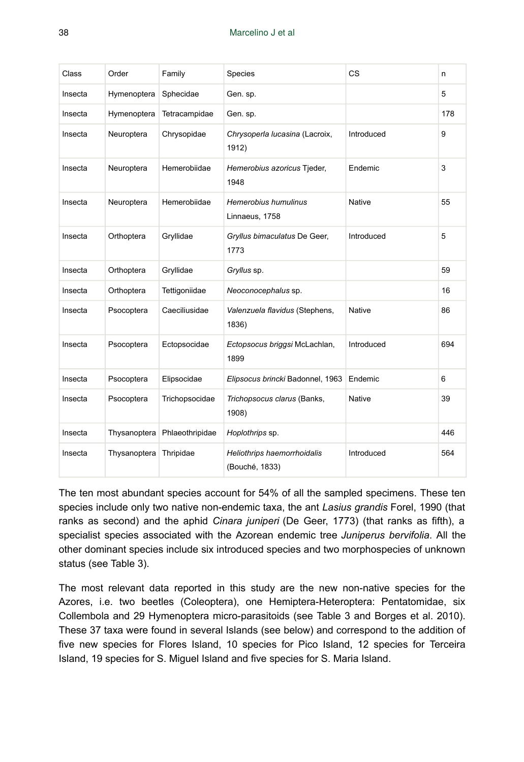| Class   | Order        | Family          | Species                                       | <b>CS</b>     | n   |
|---------|--------------|-----------------|-----------------------------------------------|---------------|-----|
| Insecta | Hymenoptera  | Sphecidae       | Gen. sp.                                      |               | 5   |
| Insecta | Hymenoptera  | Tetracampidae   | Gen. sp.                                      |               | 178 |
| Insecta | Neuroptera   | Chrysopidae     | Chrysoperla lucasina (Lacroix,<br>1912)       | Introduced    | 9   |
| Insecta | Neuroptera   | Hemerobiidae    | Hemerobius azoricus Tjeder,<br>1948           | Endemic       | 3   |
| Insecta | Neuroptera   | Hemerobiidae    | Hemerobius humulinus<br>Linnaeus, 1758        | <b>Native</b> | 55  |
| Insecta | Orthoptera   | Gryllidae       | Gryllus bimaculatus De Geer,<br>1773          | Introduced    | 5   |
| Insecta | Orthoptera   | Gryllidae       | Gryllus sp.                                   |               | 59  |
| Insecta | Orthoptera   | Tettigoniidae   | Neoconocephalus sp.                           |               | 16  |
| Insecta | Psocoptera   | Caeciliusidae   | Valenzuela flavidus (Stephens,<br>1836)       | <b>Native</b> | 86  |
| Insecta | Psocoptera   | Ectopsocidae    | Ectopsocus briggsi McLachlan,<br>1899         | Introduced    | 694 |
| Insecta | Psocoptera   | Elipsocidae     | Elipsocus brincki Badonnel, 1963              | Endemic       | 6   |
| Insecta | Psocoptera   | Trichopsocidae  | Trichopsocus clarus (Banks,<br>1908)          | <b>Native</b> | 39  |
| Insecta | Thysanoptera | Phlaeothripidae | Hoplothrips sp.                               |               | 446 |
| Insecta | Thysanoptera | Thripidae       | Heliothrips haemorrhoidalis<br>(Bouché, 1833) | Introduced    | 564 |

The ten most abundant species account for 54% of all the sampled specimens. These ten species include only two native non-endemic taxa, the ant *Lasius grandis* Forel, 1990 (that ranks as second) and the aphid *Cinara juniperi* (De Geer, 1773) (that ranks as fifth), a specialist species associated with the Azorean endemic tree *Juniperus bervifolia*. All the other dominant species include six introduced species and two morphospecies of unknown status (see Table 3).

The most relevant data reported in this study are the new non-native species for the Azores, i.e. two beetles (Coleoptera), one Hemiptera-Heteroptera: Pentatomidae, six Collembola and 29 Hymenoptera micro-parasitoids (see Table 3 and Borges et al. 2010). These 37 taxa were found in several Islands (see below) and correspond to the addition of five new species for Flores Island, 10 species for Pico Island, 12 species for Terceira Island, 19 species for S. Miguel Island and five species for S. Maria Island.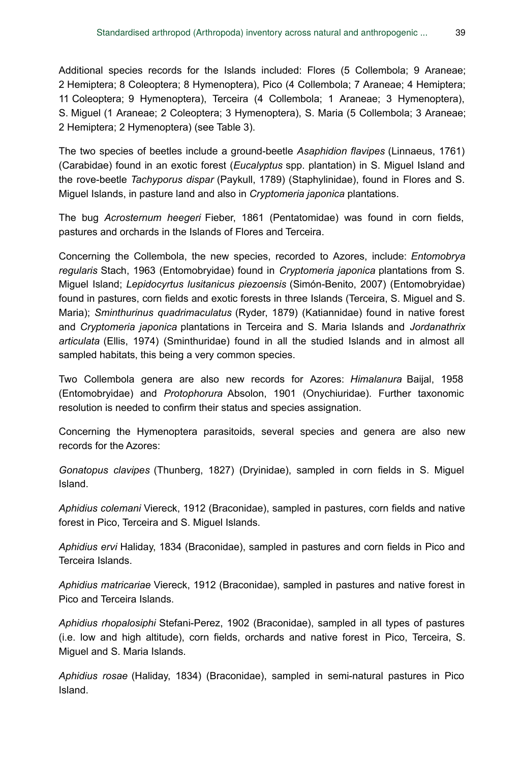Additional species records for the Islands included: Flores (5 Collembola; 9 Araneae; 2 Hemiptera; 8 Coleoptera; 8 Hymenoptera), Pico (4 Collembola; 7 Araneae; 4 Hemiptera; 11 Coleoptera; 9 Hymenoptera), Terceira (4 Collembola; 1 Araneae; 3 Hymenoptera), S. Miguel (1 Araneae; 2 Coleoptera; 3 Hymenoptera), S. Maria (5 Collembola; 3 Araneae; 2 Hemiptera; 2 Hymenoptera) (see Table 3).

The two species of beetles include a ground-beetle *Asaphidion flavipes* (Linnaeus, 1761) (Carabidae) found in an exotic forest (*Eucalyptus* spp. plantation) in S. Miguel Island and the rove-beetle *Tachyporus dispar* (Paykull, 1789) (Staphylinidae), found in Flores and S. Miguel Islands, in pasture land and also in *Cryptomeria japonica* plantations.

The bug *Acrosternum heegeri* Fieber, 1861 (Pentatomidae) was found in corn fields, pastures and orchards in the Islands of Flores and Terceira.

Concerning the Collembola, the new species, recorded to Azores, include: *Entomobrya regularis* Stach, 1963 (Entomobryidae) found in *Cryptomeria japonica* plantations from S. Miguel Island; *Lepidocyrtus lusitanicus piezoensis* (Simón-Benito, 2007) (Entomobryidae) found in pastures, corn fields and exotic forests in three Islands (Terceira, S. Miguel and S. Maria); *Sminthurinus quadrimaculatus* (Ryder, 1879) (Katiannidae) found in native forest and *Cryptomeria japonica* plantations in Terceira and S. Maria Islands and *Jordanathrix articulata* (Ellis, 1974) (Sminthuridae) found in all the studied Islands and in almost all sampled habitats, this being a very common species.

Two Collembola genera are also new records for Azores: *Himalanura* Baijal, 1958 (Entomobryidae) and *Protophorura* Absolon, 1901 (Onychiuridae). Further taxonomic resolution is needed to confirm their status and species assignation.

Concerning the Hymenoptera parasitoids, several species and genera are also new records for the Azores:

*Gonatopus clavipes* (Thunberg, 1827) (Dryinidae), sampled in corn fields in S. Miguel Island.

*Aphidius colemani* Viereck, 1912 (Braconidae), sampled in pastures, corn fields and native forest in Pico, Terceira and S. Miguel Islands.

*Aphidius ervi* Haliday, 1834 (Braconidae), sampled in pastures and corn fields in Pico and Terceira Islands.

*Aphidius matricariae* Viereck, 1912 (Braconidae), sampled in pastures and native forest in Pico and Terceira Islands.

*Aphidius rhopalosiphi* Stefani-Perez, 1902 (Braconidae), sampled in all types of pastures (i.e. low and high altitude), corn fields, orchards and native forest in Pico, Terceira, S. Miguel and S. Maria Islands.

*Aphidius rosae* (Haliday, 1834) (Braconidae), sampled in semi-natural pastures in Pico Island.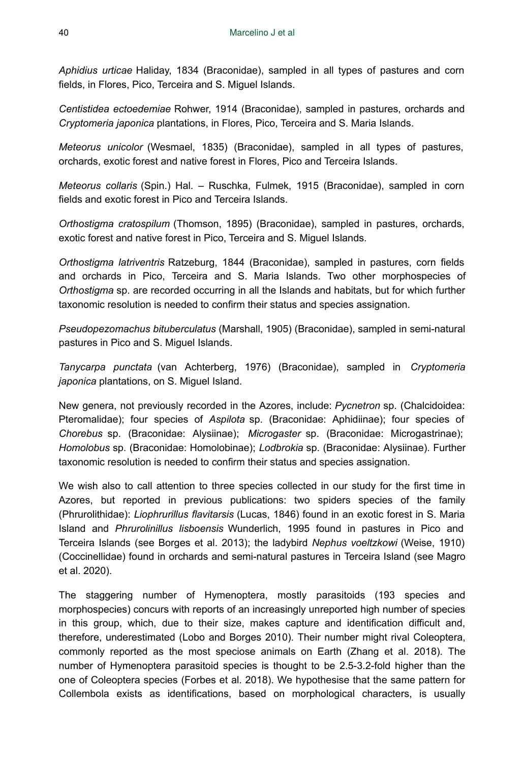*Aphidius urticae* Haliday, 1834 (Braconidae), sampled in all types of pastures and corn fields, in Flores, Pico, Terceira and S. Miguel Islands.

*Centistidea ectoedemiae* Rohwer, 1914 (Braconidae), sampled in pastures, orchards and *Cryptomeria japonica* plantations, in Flores, Pico, Terceira and S. Maria Islands.

*Meteorus unicolor* (Wesmael, 1835) (Braconidae), sampled in all types of pastures, orchards, exotic forest and native forest in Flores, Pico and Terceira Islands.

*Meteorus collaris* (Spin.) Hal. – Ruschka, Fulmek, 1915 (Braconidae), sampled in corn fields and exotic forest in Pico and Terceira Islands.

*Orthostigma cratospilum* (Thomson, 1895) (Braconidae), sampled in pastures, orchards, exotic forest and native forest in Pico, Terceira and S. Miguel Islands.

*Orthostigma latriventris* Ratzeburg, 1844 (Braconidae), sampled in pastures, corn fields and orchards in Pico, Terceira and S. Maria Islands. Two other morphospecies of *Orthostigma* sp. are recorded occurring in all the Islands and habitats, but for which further taxonomic resolution is needed to confirm their status and species assignation.

*Pseudopezomachus bituberculatus* (Marshall, 1905) (Braconidae), sampled in semi-natural pastures in Pico and S. Miguel Islands.

*Tanycarpa punctata* (van Achterberg, 1976) (Braconidae), sampled in *Cryptomeria japonica* plantations, on S. Miguel Island.

New genera, not previously recorded in the Azores, include: *Pycnetron* sp. (Chalcidoidea: Pteromalidae); four species of *Aspilota* sp. (Braconidae: Aphidiinae); four species of *Chorebus* sp. (Braconidae: Alysiinae); *Microgaster* sp. (Braconidae: Microgastrinae); *Homolobus* sp. (Braconidae: Homolobinae); *Lodbrokia* sp. (Braconidae: Alysiinae). Further taxonomic resolution is needed to confirm their status and species assignation.

We wish also to call attention to three species collected in our study for the first time in Azores, but reported in previous publications: two spiders species of the family (Phrurolithidae): *Liophrurillus flavitarsis* (Lucas, 1846) found in an exotic forest in S. Maria Island and *Phrurolinillus lisboensis* Wunderlich, 1995 found in pastures in Pico and Terceira Islands (see Borges et al. 2013); the ladybird *Nephus voeltzkowi* (Weise, 1910) (Coccinellidae) found in orchards and semi-natural pastures in Terceira Island (see Magro et al. 2020).

The staggering number of Hymenoptera, mostly parasitoids (193 species and morphospecies) concurs with reports of an increasingly unreported high number of species in this group, which, due to their size, makes capture and identification difficult and, therefore, underestimated (Lobo and Borges 2010). Their number might rival Coleoptera, commonly reported as the most speciose animals on Earth (Zhang et al. 2018). The number of Hymenoptera parasitoid species is thought to be 2.5-3.2-fold higher than the one of Coleoptera species (Forbes et al. 2018). We hypothesise that the same pattern for Collembola exists as identifications, based on morphological characters, is usually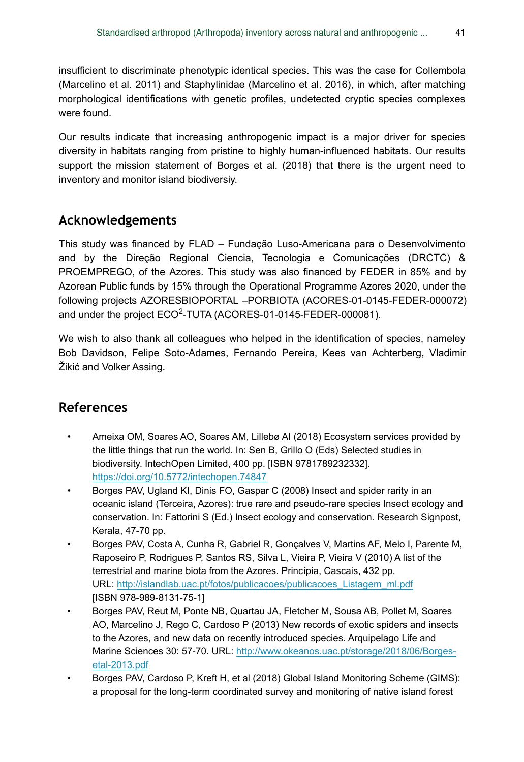insufficient to discriminate phenotypic identical species. This was the case for Collembola (Marcelino et al. 2011) and Staphylinidae (Marcelino et al. 2016), in which, after matching morphological identifications with genetic profiles, undetected cryptic species complexes were found.

Our results indicate that increasing anthropogenic impact is a major driver for species diversity in habitats ranging from pristine to highly human-influenced habitats. Our results support the mission statement of Borges et al. (2018) that there is the urgent need to inventory and monitor island biodiversiy.

## **Acknowledgements**

This study was financed by FLAD – Fundação Luso-Americana para o Desenvolvimento and by the Direção Regional Ciencia, Tecnologia e Comunicações (DRCTC) & PROEMPREGO, of the Azores. This study was also financed by FEDER in 85% and by Azorean Public funds by 15% through the Operational Programme Azores 2020, under the following projects AZORESBIOPORTAL –PORBIOTA (ACORES-01-0145-FEDER-000072) and under the project ECO<sup>2</sup>-TUTA (ACORES-01-0145-FEDER-000081).

We wish to also thank all colleagues who helped in the identification of species, nameley Bob Davidson, Felipe Soto-Adames, Fernando Pereira, Kees van Achterberg, Vladimir Žikić and Volker Assing.

# **References**

- Ameixa OM, Soares AO, Soares AM, Lillebø AI (2018) Ecosystem services provided by the little things that run the world. In: Sen B, Grillo O (Eds) Selected studies in biodiversity. IntechOpen Limited, 400 pp. [ISBN 9781789232332]. <https://doi.org/10.5772/intechopen.74847>
- Borges PAV, Ugland KI, Dinis FO, Gaspar C (2008) Insect and spider rarity in an oceanic island (Terceira, Azores): true rare and pseudo-rare species Insect ecology and conservation. In: Fattorini S (Ed.) Insect ecology and conservation. Research Signpost, Kerala, 47-70 pp.
- Borges PAV, Costa A, Cunha R, Gabriel R, Gonçalves V, Martins AF, Melo I, Parente M, Raposeiro P, Rodrigues P, Santos RS, Silva L, Vieira P, Vieira V (2010) A list of the terrestrial and marine biota from the Azores. Princípia, Cascais, 432 pp. URL: [http://islandlab.uac.pt/fotos/publicacoes/publicacoes\\_Listagem\\_ml.pdf](http://islandlab.uac.pt/fotos/publicacoes/publicacoes_Listagem_ml.pdf) [ISBN 978-989-8131-75-1]
- Borges PAV, Reut M, Ponte NB, Quartau JA, Fletcher M, Sousa AB, Pollet M, Soares AO, Marcelino J, Rego C, Cardoso P (2013) New records of exotic spiders and insects to the Azores, and new data on recently introduced species. Arquipelago Life and Marine Sciences 30: 57-70. URL: [http://www.okeanos.uac.pt/storage/2018/06/Borges](http://www.okeanos.uac.pt/storage/2018/06/Borges-etal-2013.pdf)[etal-2013.pdf](http://www.okeanos.uac.pt/storage/2018/06/Borges-etal-2013.pdf)
- Borges PAV, Cardoso P, Kreft H, et al (2018) Global Island Monitoring Scheme (GIMS): a proposal for the long-term coordinated survey and monitoring of native island forest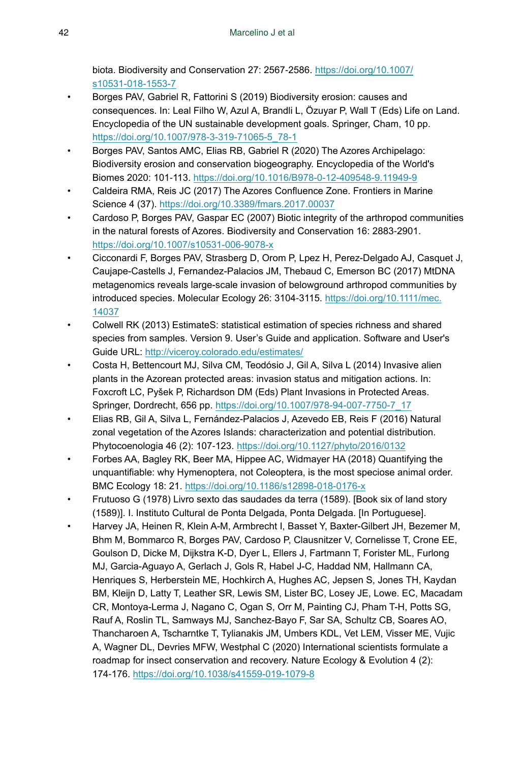biota. Biodiversity and Conservation 27: 2567‑2586. [https://doi.org/10.1007/](https://doi.org/10.1007/s10531-018-1553-7) [s10531-018-1553-7](https://doi.org/10.1007/s10531-018-1553-7)

- Borges PAV, Gabriel R, Fattorini S (2019) Biodiversity erosion: causes and consequences. In: Leal Filho W, Azul A, Brandli L, Özuyar P, Wall T (Eds) Life on Land. Encyclopedia of the UN sustainable development goals. Springer, Cham, 10 pp. [https://doi.org/10.1007/978-3-319-71065-5\\_78-1](https://doi.org/10.1007/978-3-319-71065-5_78-1)
- Borges PAV, Santos AMC, Elias RB, Gabriel R (2020) The Azores Archipelago: Biodiversity erosion and conservation biogeography. Encyclopedia of the World's Biomes 2020: 101‑113. <https://doi.org/10.1016/B978-0-12-409548-9.11949-9>
- Caldeira RMA, Reis JC (2017) The Azores Confluence Zone. Frontiers in Marine Science 4 (37).<https://doi.org/10.3389/fmars.2017.00037>
- Cardoso P, Borges PAV, Gaspar EC (2007) Biotic integrity of the arthropod communities in the natural forests of Azores. Biodiversity and Conservation 16: 2883‑2901. <https://doi.org/10.1007/s10531-006-9078-x>
- Cicconardi F, Borges PAV, Strasberg D, Orom P, Lpez H, Perez-Delgado AJ, Casquet J, Caujape-Castells J, Fernandez-Palacios JM, Thebaud C, Emerson BC (2017) MtDNA metagenomics reveals large-scale invasion of belowground arthropod communities by introduced species. Molecular Ecology 26: 3104‑3115. [https://doi.org/10.1111/mec.](https://doi.org/10.1111/mec.14037) [14037](https://doi.org/10.1111/mec.14037)
- Colwell RK (2013) EstimateS: statistical estimation of species richness and shared species from samples. Version 9. User's Guide and application. Software and User's Guide URL:<http://viceroy.colorado.edu/estimates/>
- Costa H, Bettencourt MJ, Silva CM, Teodósio J, Gil A, Silva L (2014) Invasive alien plants in the Azorean protected areas: invasion status and mitigation actions. In: Foxcroft LC, Pyšek P, Richardson DM (Eds) Plant Invasions in Protected Areas. Springer, Dordrecht, 656 pp. [https://doi.org/10.1007/978-94-007-7750-7\\_17](https://doi.org/10.1007/978-94-007-7750-7_17)
- Elias RB, Gil A, Silva L, Fernández-Palacios J, Azevedo EB, Reis F (2016) Natural zonal vegetation of the Azores Islands: characterization and potential distribution. Phytocoenologia 46 (2): 107‑123.<https://doi.org/10.1127/phyto/2016/0132>
- Forbes AA, Bagley RK, Beer MA, Hippee AC, Widmayer HA (2018) Quantifying the unquantifiable: why Hymenoptera, not Coleoptera, is the most speciose animal order. BMC Ecology 18: 21.<https://doi.org/10.1186/s12898-018-0176-x>
- Frutuoso G (1978) Livro sexto das saudades da terra (1589). [Book six of land story (1589)]. I. Instituto Cultural de Ponta Delgada, Ponta Delgada. [In Portuguese].
- Harvey JA, Heinen R, Klein A-M, Armbrecht I, Basset Y, Baxter-Gilbert JH, Bezemer M, Bhm M, Bommarco R, Borges PAV, Cardoso P, Clausnitzer V, Cornelisse T, Crone EE, Goulson D, Dicke M, Dijkstra K-D, Dyer L, Ellers J, Fartmann T, Forister ML, Furlong MJ, Garcia-Aguayo A, Gerlach J, Gols R, Habel J-C, Haddad NM, Hallmann CA, Henriques S, Herberstein ME, Hochkirch A, Hughes AC, Jepsen S, Jones TH, Kaydan BM, Kleijn D, Latty T, Leather SR, Lewis SM, Lister BC, Losey JE, Lowe. EC, Macadam CR, Montoya-Lerma J, Nagano C, Ogan S, Orr M, Painting CJ, Pham T-H, Potts SG, Rauf A, Roslin TL, Samways MJ, Sanchez-Bayo F, Sar SA, Schultz CB, Soares AO, Thancharoen A, Tscharntke T, Tylianakis JM, Umbers KDL, Vet LEM, Visser ME, Vujic A, Wagner DL, Devries MFW, Westphal C (2020) International scientists formulate a roadmap for insect conservation and recovery. Nature Ecology & Evolution 4 (2): 174‑176. <https://doi.org/10.1038/s41559-019-1079-8>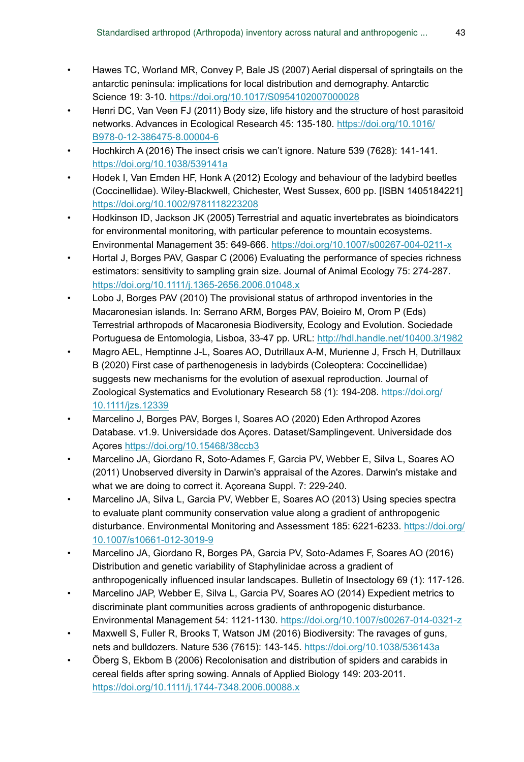- Hawes TC, Worland MR, Convey P, Bale JS (2007) Aerial dispersal of springtails on the antarctic peninsula: implications for local distribution and demography. Antarctic Science 19: 3‑10.<https://doi.org/10.1017/S0954102007000028>
- Henri DC, Van Veen FJ (2011) Body size, life history and the structure of host parasitoid networks. Advances in Ecological Research 45: 135‑180. [https://doi.org/10.1016/](https://doi.org/10.1016/B978-0-12-386475-8.00004-6) [B978-0-12-386475-8.00004-6](https://doi.org/10.1016/B978-0-12-386475-8.00004-6)
- Hochkirch A (2016) The insect crisis we can't ignore. Nature 539 (7628): 141‑141. <https://doi.org/10.1038/539141a>
- Hodek I, Van Emden HF, Honk A (2012) Ecology and behaviour of the ladybird beetles (Coccinellidae). Wiley-Blackwell, Chichester, West Sussex, 600 pp. [ISBN 1405184221] <https://doi.org/10.1002/9781118223208>
- Hodkinson ID, Jackson JK (2005) Terrestrial and aquatic invertebrates as bioindicators for environmental monitoring, with particular peference to mountain ecosystems. Environmental Management 35: 649‑666.<https://doi.org/10.1007/s00267-004-0211-x>
- Hortal J, Borges PAV, Gaspar C (2006) Evaluating the performance of species richness estimators: sensitivity to sampling grain size. Journal of Animal Ecology 75: 274‑287. <https://doi.org/10.1111/j.1365-2656.2006.01048.x>
- Lobo J, Borges PAV (2010) The provisional status of arthropod inventories in the Macaronesian islands. In: Serrano ARM, Borges PAV, Boieiro M, Orom P (Eds) Terrestrial arthropods of Macaronesia Biodiversity, Ecology and Evolution. Sociedade Portuguesa de Entomologia, Lisboa, 33-47 pp. URL: <http://hdl.handle.net/10400.3/1982>
- Magro AEL, Hemptinne J-L, Soares AO, Dutrillaux A-M, Murienne J, Frsch H, Dutrillaux B (2020) First case of parthenogenesis in ladybirds (Coleoptera: Coccinellidae) suggests new mechanisms for the evolution of asexual reproduction. Journal of Zoological Systematics and Evolutionary Research 58 (1): 194-208. [https://doi.org/](https://doi.org/10.1111/jzs.12339) [10.1111/jzs.12339](https://doi.org/10.1111/jzs.12339)
- Marcelino J, Borges PAV, Borges I, Soares AO (2020) Eden Arthropod Azores Database. v1.9. Universidade dos Açores. Dataset/Samplingevent. Universidade dos Açores<https://doi.org/10.15468/38ccb3>
- Marcelino JA, Giordano R, Soto-Adames F, Garcia PV, Webber E, Silva L, Soares AO (2011) Unobserved diversity in Darwin's appraisal of the Azores. Darwin's mistake and what we are doing to correct it. Açoreana Suppl. 7: 229-240.
- Marcelino JA, Silva L, Garcia PV, Webber E, Soares AO (2013) Using species spectra to evaluate plant community conservation value along a gradient of anthropogenic disturbance. Environmental Monitoring and Assessment 185: 6221‑6233. [https://doi.org/](https://doi.org/10.1007/s10661-012-3019-9) [10.1007/s10661-012-3019-9](https://doi.org/10.1007/s10661-012-3019-9)
- Marcelino JA, Giordano R, Borges PA, Garcia PV, Soto-Adames F, Soares AO (2016) Distribution and genetic variability of Staphylinidae across a gradient of anthropogenically influenced insular landscapes. Bulletin of Insectology 69 (1): 117‑126.
- Marcelino JAP, Webber E, Silva L, Garcia PV, Soares AO (2014) Expedient metrics to discriminate plant communities across gradients of anthropogenic disturbance. Environmental Management 54: 1121‑1130.<https://doi.org/10.1007/s00267-014-0321-z>
- Maxwell S, Fuller R, Brooks T, Watson JM (2016) Biodiversity: The ravages of guns, nets and bulldozers. Nature 536 (7615): 143‑145. <https://doi.org/10.1038/536143a>
- Öberg S, Ekbom B (2006) Recolonisation and distribution of spiders and carabids in cereal fields after spring sowing. Annals of Applied Biology 149: 203‑2011. <https://doi.org/10.1111/j.1744-7348.2006.00088.x>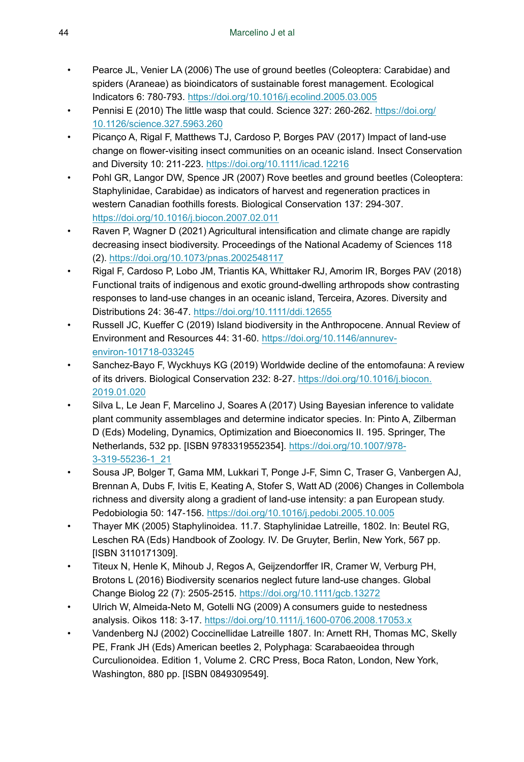- Pearce JL, Venier LA (2006) The use of ground beetles (Coleoptera: Carabidae) and spiders (Araneae) as bioindicators of sustainable forest management. Ecological Indicators 6: 780‑793. <https://doi.org/10.1016/j.ecolind.2005.03.005>
- Pennisi E (2010) The little wasp that could. Science 327: 260-262. [https://doi.org/](https://doi.org/10.1126/science.327.5963.260) [10.1126/science.327.5963.260](https://doi.org/10.1126/science.327.5963.260)
- Picanço A, Rigal F, Matthews TJ, Cardoso P, Borges PAV (2017) Impact of land-use change on flower-visiting insect communities on an oceanic island. Insect Conservation and Diversity 10: 211‑223. <https://doi.org/10.1111/icad.12216>
- Pohl GR, Langor DW, Spence JR (2007) Rove beetles and ground beetles (Coleoptera: Staphylinidae, Carabidae) as indicators of harvest and regeneration practices in western Canadian foothills forests. Biological Conservation 137: 294‑307. <https://doi.org/10.1016/j.biocon.2007.02.011>
- Raven P, Wagner D (2021) Agricultural intensification and climate change are rapidly decreasing insect biodiversity. Proceedings of the National Academy of Sciences 118 (2). <https://doi.org/10.1073/pnas.2002548117>
- Rigal F, Cardoso P, Lobo JM, Triantis KA, Whittaker RJ, Amorim IR, Borges PAV (2018) Functional traits of indigenous and exotic ground-dwelling arthropods show contrasting responses to land-use changes in an oceanic island, Terceira, Azores. Diversity and Distributions 24: 36‑47. <https://doi.org/10.1111/ddi.12655>
- Russell JC, Kueffer C (2019) Island biodiversity in the Anthropocene. Annual Review of Environment and Resources 44: 31‑60. [https://doi.org/10.1146/annurev](https://doi.org/10.1146/annurev-environ-101718-033245)[environ-101718-033245](https://doi.org/10.1146/annurev-environ-101718-033245)
- Sanchez-Bayo F, Wyckhuys KG (2019) Worldwide decline of the entomofauna: A review of its drivers. Biological Conservation 232: 8-27. [https://doi.org/10.1016/j.biocon.](https://doi.org/10.1016/j.biocon.2019.01.020) [2019.01.020](https://doi.org/10.1016/j.biocon.2019.01.020)
- Silva L, Le Jean F, Marcelino J, Soares A (2017) Using Bayesian inference to validate plant community assemblages and determine indicator species. In: Pinto A, Zilberman D (Eds) Modeling, Dynamics, Optimization and Bioeconomics II. 195. Springer, The Netherlands, 532 pp. [ISBN 9783319552354]. [https://doi.org/10.1007/978-](https://doi.org/10.1007/978-3-319-55236-1_21) [3-319-55236-1\\_21](https://doi.org/10.1007/978-3-319-55236-1_21)
- Sousa JP, Bolger T, Gama MM, Lukkari T, Ponge J-F, Simn C, Traser G, Vanbergen AJ, Brennan A, Dubs F, Ivitis E, Keating A, Stofer S, Watt AD (2006) Changes in Collembola richness and diversity along a gradient of land-use intensity: a pan European study. Pedobiologia 50: 147‑156. <https://doi.org/10.1016/j.pedobi.2005.10.005>
- Thayer MK (2005) Staphylinoidea. 11.7. Staphylinidae Latreille, 1802. In: Beutel RG, Leschen RA (Eds) Handbook of Zoology. IV. De Gruyter, Berlin, New York, 567 pp. [ISBN 3110171309].
- Titeux N, Henle K, Mihoub J, Regos A, Geijzendorffer IR, Cramer W, Verburg PH, Brotons L (2016) Biodiversity scenarios neglect future land-use changes. Global Change Biolog 22 (7): 2505‑2515. <https://doi.org/10.1111/gcb.13272>
- Ulrich W, Almeida-Neto M, Gotelli NG (2009) A consumers guide to nestedness analysis. Oikos 118: 3‑17. <https://doi.org/10.1111/j.1600-0706.2008.17053.x>
- Vandenberg NJ (2002) Coccinellidae Latreille 1807. In: Arnett RH, Thomas MC, Skelly PE, Frank JH (Eds) American beetles 2, Polyphaga: Scarabaeoidea through Curculionoidea. Edition 1, Volume 2. CRC Press, Boca Raton, London, New York, Washington, 880 pp. [ISBN 0849309549].